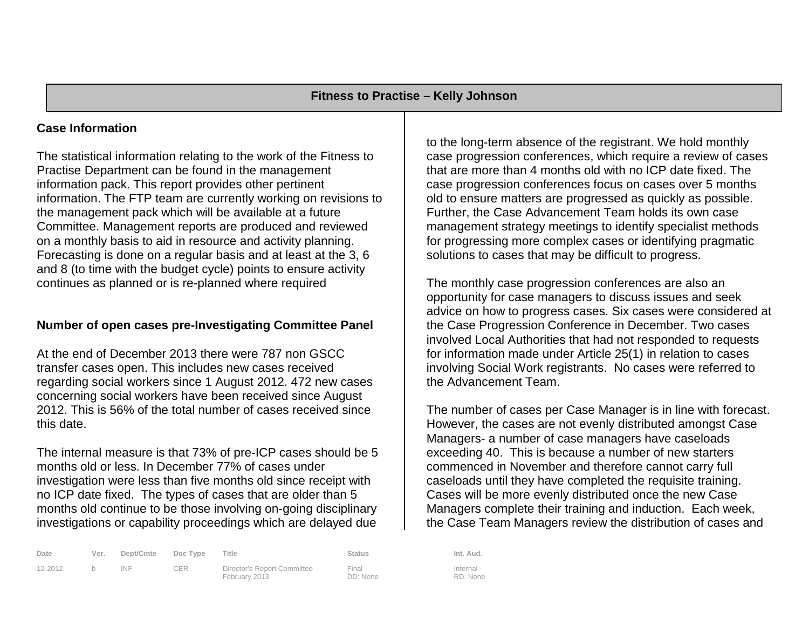# **Case Information**

The statistical information relating to the work of the Fitness to Practise Department can be found in the management information pack. This report provides other pertinent information. The FTP team are currently working on revisions to the management pack which will be available at a future Committee. Management reports are produced and reviewed on a monthly basis to aid in resource and activity planning. Forecasting is done on a regular basis and at least at the 3, 6 and 8 (to time with the budget cycle) points to ensure activity continues as planned or is re-planned where required

# **Number of open cases pre-Investigating Committee Panel**

At the end of December 2013 there were 787 non GSCC transfer cases open. This includes new cases received regarding social workers since 1 August 2012. 472 new cases concerning social workers have been received since August 2012. This is 56% of the total number of cases received since this date.

The internal measure is that 73% of pre-ICP cases should be 5 months old or less. In December 77% of cases under investigation were less than five months old since receipt with no ICP date fixed. The types of cases that are older than 5 months old continue to be those involving on-going disciplinary investigations or capability proceedings which are delayed due

| Date    | Ver. | Dept/Cmte | Doc Type   | Title                                        | Status            | Int. Aud.           |
|---------|------|-----------|------------|----------------------------------------------|-------------------|---------------------|
| 12-2012 |      | INF       | <b>CER</b> | Director's Report Committee<br>February 2013 | Final<br>DD: None | Internal<br>RD: Non |

to the long-term absence of the registrant. We hold monthly case progression conferences, which require a review of cases that are more than 4 months old with no ICP date fixed. The case progression conferences focus on cases over 5 months old to ensure matters are progressed as quickly as possible. Further, the Case Advancement Team holds its own case management strategy meetings to identify specialist methods for progressing more complex cases or identifying pragmatic solutions to cases that may be difficult to progress.

The monthly case progression conferences are also an opportunity for case managers to discuss issues and seek advice on how to progress cases. Six cases were considered at the Case Progression Conference in December. Two cases involved Local Authorities that had not responded to requests for information made under Article 25(1) in relation to cases involving Social Work registrants. No cases were referred to the Advancement Team.

The number of cases per Case Manager is in line with forecast. However, the cases are not evenly distributed amongst Case Managers- a number of case managers have caseloads exceeding 40. This is because a number of new starters commenced in November and therefore cannot carry full caseloads until they have completed the requisite training. Cases will be more evenly distributed once the new Case Managers complete their training and induction. Each week, the Case Team Managers review the distribution of cases and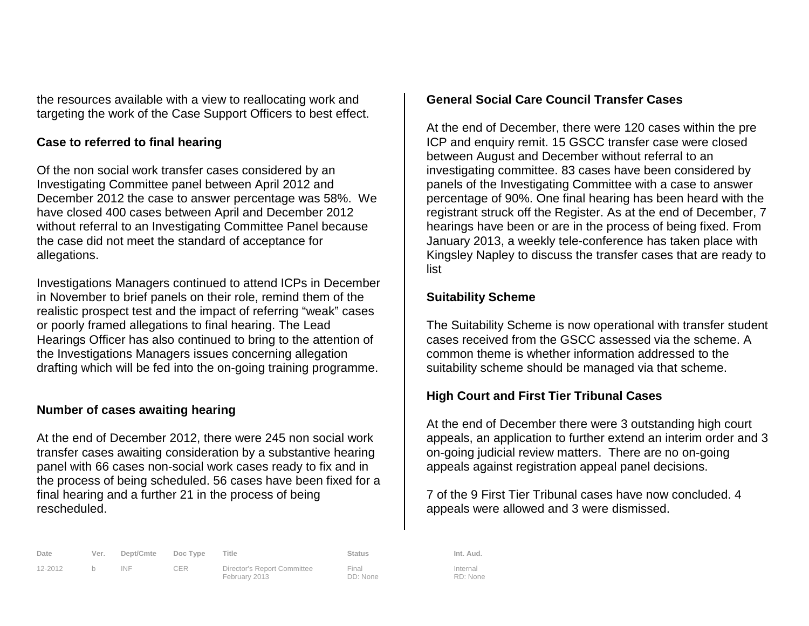the resources available with a view to reallocating work and targeting the work of the Case Support Officers to best effect.

# **Case to referred to final hearing**

Of the non social work transfer cases considered by an Investigating Committee panel between April 2012 and December 2012 the case to answer percentage was 58%. We have closed 400 cases between April and December 2012 without referral to an Investigating Committee Panel because the case did not meet the standard of acceptance for allegations.

Investigations Managers continued to attend ICPs in December in November to brief panels on their role, remind them of the realistic prospect test and the impact of referring "weak" cases or poorly framed allegations to final hearing. The Lead Hearings Officer has also continued to bring to the attention of the Investigations Managers issues concerning allegation drafting which will be fed into the on-going training programme.

# **Number of cases awaiting hearing**

At the end of December 2012, there were 245 non social work transfer cases awaiting consideration by a substantive hearing panel with 66 cases non-social work cases ready to fix and in the process of being scheduled. 56 cases have been fixed for a final hearing and a further 21 in the process of being rescheduled.

# **General Social Care Council Transfer Cases**

At the end of December, there were 120 cases within the pre ICP and enquiry remit. 15 GSCC transfer case were closed between August and December without referral to an investigating committee. 83 cases have been considered by panels of the Investigating Committee with a case to answer percentage of 90%. One final hearing has been heard with the registrant struck off the Register. As at the end of December, 7 hearings have been or are in the process of being fixed. From January 2013, a weekly tele-conference has taken place with Kingsley Napley to discuss the transfer cases that are ready to list

# **Suitability Scheme**

The Suitability Scheme is now operational with transfer student cases received from the GSCC assessed via the scheme. A common theme is whether information addressed to the suitability scheme should be managed via that scheme.

# **High Court and First Tier Tribunal Cases**

At the end of December there were 3 outstanding high court appeals, an application to further extend an interim order and 3 on-going judicial review matters. There are no on-going appeals against registration appeal panel decisions.

7 of the 9 First Tier Tribunal cases have now concluded. 4 appeals were allowed and 3 were dismissed.

| Date    | Ver. | Dept/Cmte Doc Type |            | Title                                        | Status            | Int. Aud.           |
|---------|------|--------------------|------------|----------------------------------------------|-------------------|---------------------|
| 12-2012 |      | INF                | <b>CER</b> | Director's Report Committee<br>February 2013 | Final<br>DD: None | Internal<br>PD: Non |

Director's Report Committee February 2013

Final DD: None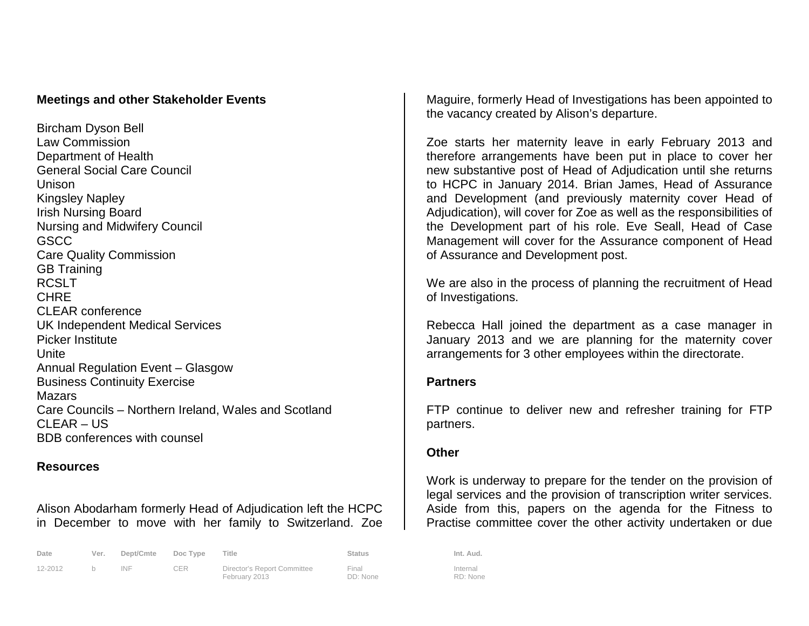# **Meetings and other Stakeholder Events**

Bircham Dyson Bell Law Commission Department of Health General Social Care Council Unison Kingsley Napley Irish Nursing Board Nursing and Midwifery Council **GSCC** Care Quality Commission GB Training RCSLT **CHRF** CLEAR conference UK Independent Medical Services Picker Institute Unite Annual Regulation Event – Glasgow Business Continuity Exercise **Mazars** Care Councils – Northern Ireland, Wales and Scotland CLEAR – US BDB conferences with counsel

# **Resources**

Alison Abodarham formerly Head of Adjudication left the HCPC in December to move with her family to Switzerland. Zoe

| Date    | Ver. | Dept/Cmte | Doc Type   | Title                                        | Status            | Int. Aud.           |
|---------|------|-----------|------------|----------------------------------------------|-------------------|---------------------|
| 12-2012 |      | INF       | <b>CER</b> | Director's Report Committee<br>February 2013 | Final<br>DD: None | Internal<br>RD: Non |

Maguire, formerly Head of Investigations has been appointed to the vacancy created by Alison's departure.

Zoe starts her maternity leave in early February 2013 and therefore arrangements have been put in place to cover her new substantive post of Head of Adjudication until she returns to HCPC in January 2014. Brian James, Head of Assurance and Development (and previously maternity cover Head of Adjudication), will cover for Zoe as well as the responsibilities of the Development part of his role. Eve Seall, Head of Case Management will cover for the Assurance component of Head of Assurance and Development post.

We are also in the process of planning the recruitment of Head of Investigations.

Rebecca Hall joined the department as a case manager in January 2013 and we are planning for the maternity cover arrangements for 3 other employees within the directorate.

# **Partners**

FTP continue to deliver new and refresher training for FTP partners.

# **Other**

Work is underway to prepare for the tender on the provision of legal services and the provision of transcription writer services. Aside from this, papers on the agenda for the Fitness to Practise committee cover the other activity undertaken or due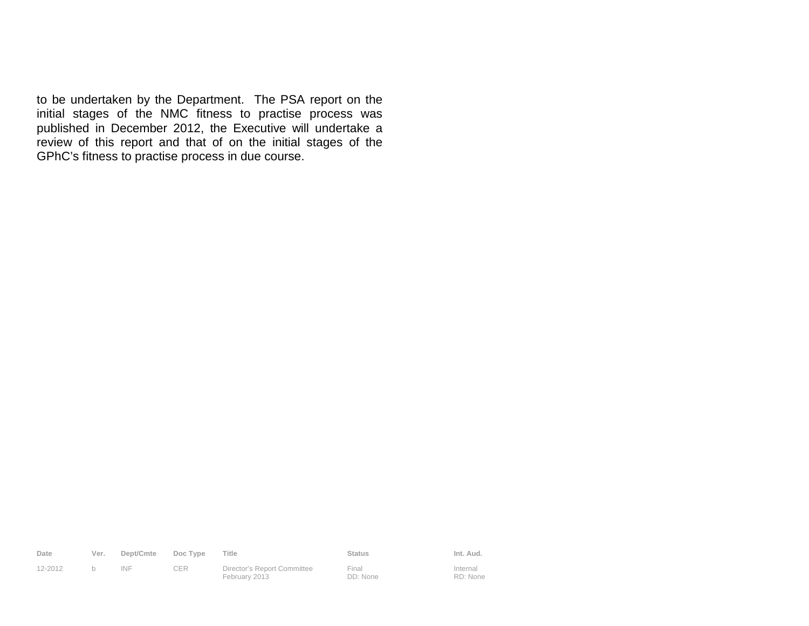to be undertaken by the Department. The PSA report on the initial stages of the NMC fitness to practise process was published in December 2012, the Executive will undertake a review of this report and that of on the initial stages of the GPhC's fitness to practise process in due course.

| Date    |   | Ver. Dept/Cmte Doc Type |            | Title                       | Status | Int. Aud.           |
|---------|---|-------------------------|------------|-----------------------------|--------|---------------------|
| 12-2012 | h | INF                     | <b>CER</b> | Director's Report Committee | Final  | Internal<br>_______ |

February 2013

Final DD: None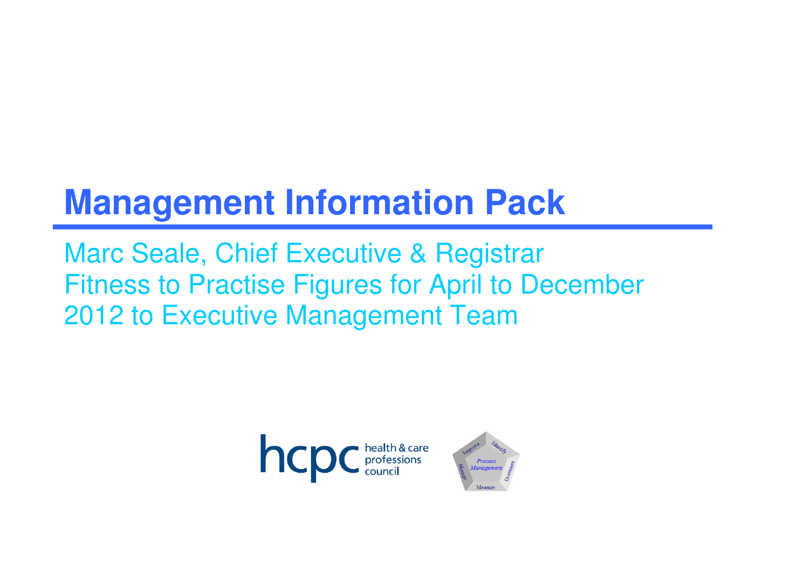# **Management Information Pack**

Marc Seale, Chief Executive & RegistrarFitness to Practise Figures for April to December 2012 to Executive Management Team



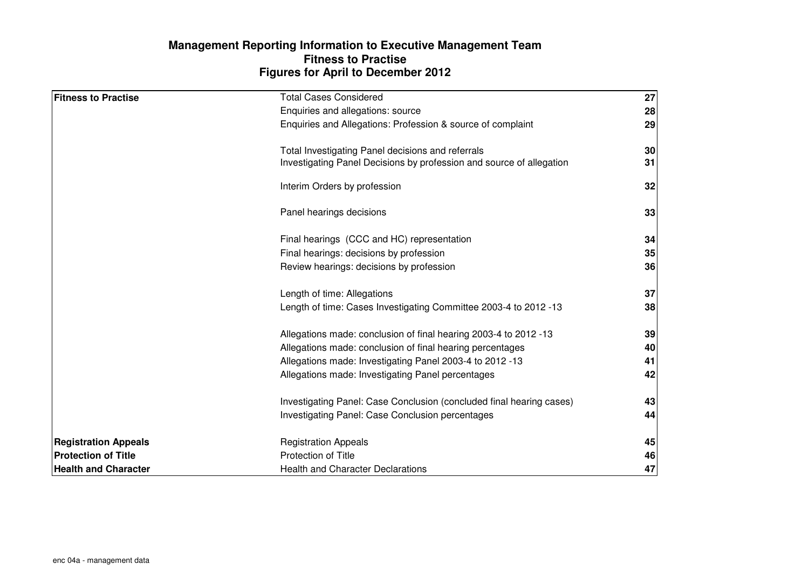# **Figures for April to December 2012 Management Reporting Information to Executive Management TeamFitness to Practise**

| <b>Fitness to Practise</b>  | <b>Total Cases Considered</b>                                        | 27 |
|-----------------------------|----------------------------------------------------------------------|----|
|                             | Enquiries and allegations: source                                    | 28 |
|                             | Enquiries and Allegations: Profession & source of complaint          | 29 |
|                             | Total Investigating Panel decisions and referrals                    | 30 |
|                             | Investigating Panel Decisions by profession and source of allegation | 31 |
|                             | Interim Orders by profession                                         | 32 |
|                             | Panel hearings decisions                                             | 33 |
|                             | Final hearings (CCC and HC) representation                           | 34 |
|                             | Final hearings: decisions by profession                              | 35 |
|                             | Review hearings: decisions by profession                             | 36 |
|                             | Length of time: Allegations                                          | 37 |
|                             | Length of time: Cases Investigating Committee 2003-4 to 2012 -13     | 38 |
|                             | Allegations made: conclusion of final hearing 2003-4 to 2012 -13     | 39 |
|                             | Allegations made: conclusion of final hearing percentages            | 40 |
|                             | Allegations made: Investigating Panel 2003-4 to 2012 -13             | 41 |
|                             | Allegations made: Investigating Panel percentages                    | 42 |
|                             | Investigating Panel: Case Conclusion (concluded final hearing cases) | 43 |
|                             | Investigating Panel: Case Conclusion percentages                     | 44 |
| <b>Registration Appeals</b> | <b>Registration Appeals</b>                                          | 45 |
| <b>Protection of Title</b>  | Protection of Title                                                  | 46 |
| <b>Health and Character</b> | <b>Health and Character Declarations</b>                             | 47 |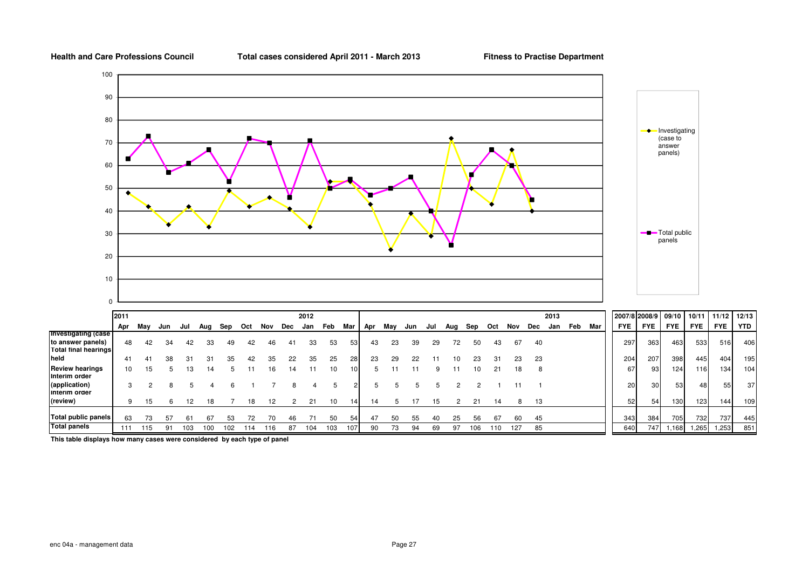**Total cases considered April 2011 - March 2013**

**Fitness to Practise Department**



**This table displays how many cases were considered by each type of panel**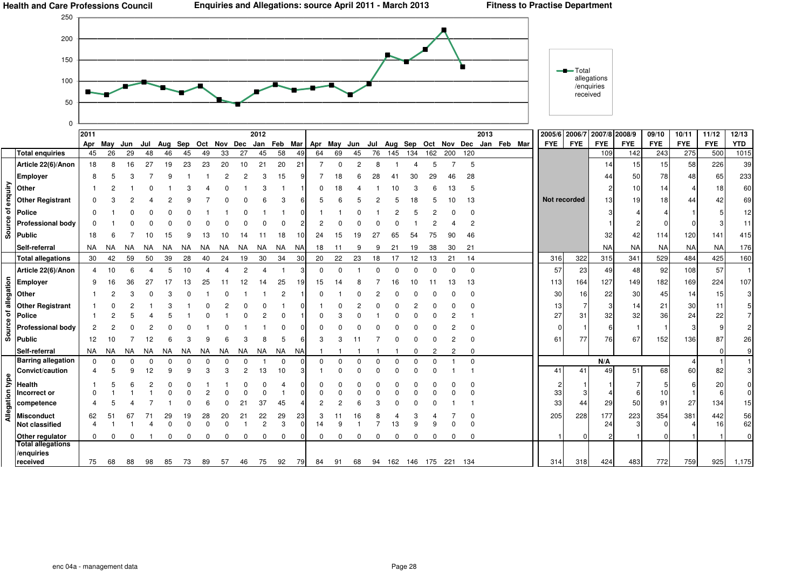

|         |                                                                       | 2011      |           |     |         |    |     |    |     |    | 2012                 |                |                |                                         |    |     |     |          |                        |     |     |          | 2013 |                                 | 2005/6 2006/7 |            | 2007/8 2008/9 |            | 09/10      | 10/11      | 11/12      | 12/13      |
|---------|-----------------------------------------------------------------------|-----------|-----------|-----|---------|----|-----|----|-----|----|----------------------|----------------|----------------|-----------------------------------------|----|-----|-----|----------|------------------------|-----|-----|----------|------|---------------------------------|---------------|------------|---------------|------------|------------|------------|------------|------------|
|         |                                                                       | Apr May   |           | Jun | Jul     |    |     |    |     |    |                      |                |                | Aug Sep Oct Nov Dec Jan Feb Mar Apr May |    | Jun | Jul |          |                        |     |     |          |      | Aug Sep Oct Nov Dec Jan Feb Mar | <b>FYE</b>    | <b>FYE</b> | <b>FYE</b>    | <b>FYE</b> | <b>FYE</b> | <b>FYE</b> | <b>FYE</b> | <b>YTD</b> |
|         | <b>Total enquiries</b>                                                | 45        | 26        | 29  | 48      | 46 | 45  | 49 | 33  | 27 | 45                   | 58             | 49             | 64                                      | 69 | 45  | 76  | 145      | 134                    | 162 | 200 | 120      |      |                                 |               |            | 109           | 142        | 243        | 275        | 500        | 1015       |
|         | Article 22(6)/Anon                                                    | 18        |           | 16  | 27      | 19 | 23  | 23 | 20  | 10 | 21                   | 20             | 21             |                                         |    | ≘   | 8   |          |                        |     |     | 5        |      |                                 |               |            | 14            | 15         | 15         | 58         | 226        | 39         |
|         | <b>Employer</b>                                                       | 8         |           |     |         |    |     |    |     | 2  |                      | 15             |                |                                         | 18 |     | 28  | 4        | 30                     | 29  |     | 28       |      |                                 |               |            | 44            | 50         | 78         | 48         | 65         | 233        |
|         |                                                                       |           |           |     |         |    |     |    |     |    |                      |                |                |                                         |    |     |     |          |                        |     |     |          |      |                                 |               |            |               | 10         | 14         |            | 18         | 60         |
|         | $\frac{\sum_{i=1}^{n} \sum_{j=1}^{n} \sigma_{i}}{n}$ Other Registrant |           |           |     |         |    |     |    |     |    |                      |                |                |                                         |    |     |     |          |                        |     |     | 13       |      |                                 | Not recorded  |            | 13            | 19         | 18         | 44         | 42         | 69         |
|         | $\overline{5}$ Police                                                 |           |           |     |         |    |     |    |     |    |                      |                |                |                                         |    |     |     |          |                        |     |     |          |      |                                 |               |            |               |            |            |            |            | 12         |
|         | <b>Professional body</b>                                              |           |           |     |         |    |     |    |     |    |                      |                |                |                                         |    |     |     |          |                        |     |     |          |      |                                 |               |            |               |            |            |            |            | 11         |
|         | $\frac{12}{9}$ Profess                                                | 18        |           |     |         |    |     |    |     |    |                      |                |                | 24                                      |    |     |     |          |                        |     |     | 46       |      |                                 |               |            | 32            | 42         | 114        | 120        | 141        | 415        |
|         | Self-referral                                                         | <b>NA</b> | NA        | NA  |         | ΝA | NA. | ΝA | NA. | NA | NA.                  | NA             | <b>NA</b>      | 18                                      |    |     |     | 21       | 19                     | 38  | 30  | 21       |      |                                 |               |            | <b>NA</b>     | <b>NA</b>  | <b>NA</b>  | <b>NA</b>  | <b>NA</b>  | 176        |
|         | <b>Total allegations</b>                                              | 30        | 42        | 59  | 50      | 39 | 28  | 40 | 24  | 19 | 30                   | 34             | 30             | 20                                      | 22 | 23  | 18  | 17       | 12                     | 13  | 21  | 14       |      |                                 | 316           | 322        | 315           | 341        | 529        | 484        | 425        | 160        |
|         | Article 22(6)/Anon                                                    |           | 10        |     |         |    |     |    |     |    |                      |                |                | <sup>0</sup>                            |    |     |     |          |                        |     |     | $\Omega$ |      |                                 | 57            | 23         | 49            | 48         | 92         | 108        | 57         |            |
|         |                                                                       | 9         |           |     |         |    |     |    |     |    |                      | 25             |                | 15                                      |    |     |     |          |                        |     |     | 13       |      |                                 | 113           | 164        | 127           | 149        | 182        | 169        | 224        | 107        |
|         | $\frac{5}{100}$ Employer                                              |           | 16        |     |         |    |     |    |     |    |                      |                |                |                                         |    |     |     |          |                        |     |     |          |      |                                 |               |            |               |            |            |            |            |            |
|         |                                                                       |           |           |     |         |    |     |    |     |    |                      | 2              |                |                                         |    |     |     |          |                        |     |     |          |      |                                 | 30            | 16         | 22            | 30         | 45         | 14         | 15         | 3          |
| ᇹ<br>ㅎ  | <b>Other Registrant</b><br>Police                                     |           |           |     |         |    |     |    |     |    |                      |                |                |                                         |    |     |     |          |                        |     |     |          |      |                                 | 13<br>27      | 31         | 32            | 14<br>32   | 21<br>36   | 30<br>24   | 22         |            |
|         | <b>Professional body</b>                                              |           |           |     |         |    |     |    |     |    |                      |                |                |                                         |    |     |     |          |                        |     |     |          |      |                                 |               |            |               |            |            |            |            |            |
|         | $\frac{12}{5}$ Profess<br>$\frac{12}{5}$ Public                       |           |           |     |         |    |     |    |     |    |                      |                |                |                                         |    |     |     |          |                        |     |     |          |      |                                 |               |            |               |            |            |            |            |            |
|         |                                                                       | 12        | 10        |     | 12      |    |     |    |     |    |                      |                |                |                                         |    |     |     |          |                        |     |     |          |      |                                 | 61            | 77         | 76            | 67         | 152        | 136        | 87         | 26         |
|         | Self-referral                                                         | <b>NA</b> | <b>NA</b> | NA  | NA.     | ΝA | NA  | NA | NA. | NA | <b>NA</b>            | NA             | NA             |                                         |    |     |     |          |                        |     |     |          |      |                                 |               |            |               |            |            |            |            |            |
|         | <b>Barring allegation</b><br>Convict/caution                          | $\Omega$  |           |     | O<br>12 |    |     |    |     | 2  | 13                   | $\Omega$<br>10 |                | n                                       |    |     |     |          |                        |     |     | $\Omega$ |      |                                 | 41            | 41         | N/A<br>49     | 51         | 68         | 60         | 82         |            |
| type    |                                                                       |           |           |     |         |    |     |    |     |    |                      |                |                |                                         |    |     |     |          |                        |     |     |          |      |                                 |               |            |               |            |            |            |            |            |
|         | <b>Health</b><br>Incorrect or                                         |           |           |     |         |    |     |    |     |    |                      |                |                |                                         |    |     |     |          |                        |     |     |          |      |                                 | 33            |            |               |            | 10         |            | 20         |            |
|         | competence                                                            |           |           |     |         |    |     |    |     |    | 37                   | 45             |                |                                         |    |     |     |          |                        |     |     |          |      |                                 | 33            | 44         | 29            | 50         | 91         | 27         | 134        | 15         |
| Allegau |                                                                       |           |           |     |         |    |     |    |     |    |                      |                |                |                                         |    |     |     |          |                        |     |     |          |      |                                 |               |            |               |            |            |            |            |            |
|         | <b>Misconduct</b><br><b>Not classified</b>                            | 62        |           |     |         |    |     | 28 |     | 21 | 22<br>$\overline{2}$ | 29<br>3        | 23<br>$\Omega$ | 3<br>14                                 | 9  |     |     | 13       |                        |     |     |          |      |                                 | 205           | 228        | 177<br>24     | 223        | 354        | 381        | 442<br>16  | 56<br>62   |
|         | Other regulator                                                       |           |           |     |         |    |     |    |     |    |                      | 0              |                | $\Omega$                                |    |     |     | $\Omega$ |                        |     |     |          |      |                                 |               |            |               |            |            |            |            |            |
|         | <b>Total allegations</b>                                              |           |           |     |         |    |     |    |     |    |                      |                |                |                                         |    |     |     |          |                        |     |     |          |      |                                 |               |            |               |            |            |            |            |            |
|         | /enquiries                                                            |           |           |     |         |    |     |    |     |    |                      |                |                |                                         |    |     |     |          |                        |     |     |          |      |                                 |               |            |               |            |            |            |            |            |
|         | received                                                              | 75        | 68        | 88  | 98      | 85 | 73  | 89 | 57  | 46 | 75                   | 92             |                | 79 84 91                                |    | 68  |     |          | 94 162 146 175 221 134 |     |     |          |      |                                 | 314           | 318        | 424           | 483        | 772        | 759        | 925        | 1,175      |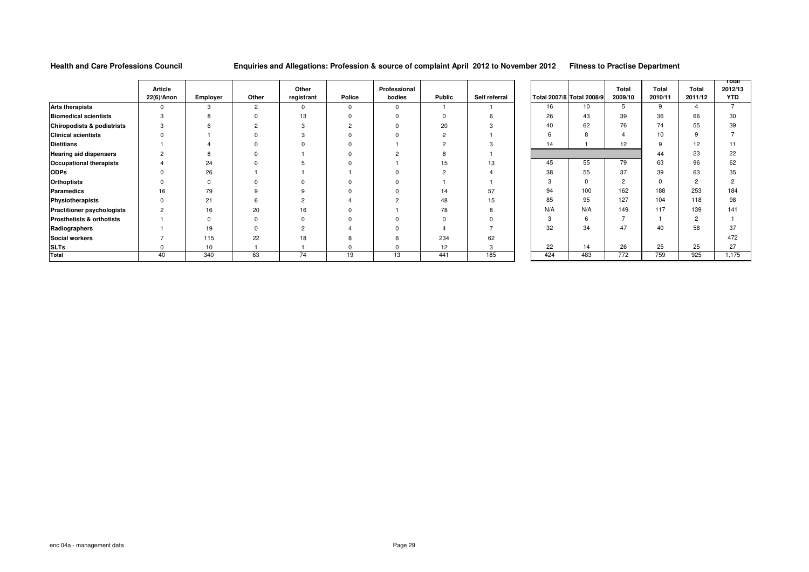#### **Enquiries and Allegations: Profession & source of complaint April 2012 to November 2012 Fitness to Practise Department**

**Total 2012/13 YTD** $\overline{7}$ 

|                                       |                |                 |                |                |          |              |        |               |                           |     |                |             |                | Total          |
|---------------------------------------|----------------|-----------------|----------------|----------------|----------|--------------|--------|---------------|---------------------------|-----|----------------|-------------|----------------|----------------|
|                                       | <b>Article</b> |                 |                | Other          |          | Professional |        |               |                           |     | Total          | Total       | <b>Total</b>   | 2012/1         |
|                                       | 22(6)/Anon     | <b>Employer</b> | Other          | registrant     | Police   | bodies       | Public | Self referral | Total 2007/8 Total 2008/9 |     | 2009/10        | 2010/11     | 2011/12        | <b>YTD</b>     |
| <b>Arts therapists</b>                | 0              | 3               | $\overline{2}$ | $\Omega$       | $\Omega$ | $\Omega$     |        |               | 16                        | 10  | 5              | 9           |                | $\overline{7}$ |
| <b>Biomedical scientists</b>          | 3              | 8               | $\Omega$       | 13             | $\Omega$ |              |        |               | 26                        | 43  | 39             | 36          | 66             | 30             |
| <b>Chiropodists &amp; podiatrists</b> | 3              | 6               | $\overline{2}$ | 3              | C        |              | 20     |               | 40                        | 62  | 76             | 74          | 55             | 39             |
| <b>Clinical scientists</b>            |                |                 |                | 3              | $\Omega$ |              |        |               | 6                         | 8   | $\overline{4}$ | 10          | 9              |                |
| <b>Dietitians</b>                     |                |                 |                |                |          |              |        |               | 14                        |     | 12             | 9           | 12             | 11             |
| <b>Hearing aid dispensers</b>         | 2              |                 |                |                |          |              |        |               |                           |     |                | 44          | 23             | 22             |
| <b>Occupational therapists</b>        |                | 24              |                |                | O        |              | 15     | 13            | 45                        | 55  | 79             | 63          | 96             | 62             |
| <b>ODPs</b>                           |                | 26              |                |                |          |              |        |               | 38                        | 55  | 37             | 39          | 63             | 35             |
| <b>Orthoptists</b>                    |                | $\Omega$        |                |                | $\Omega$ |              |        |               | 3                         | 0   | $\overline{2}$ | $\mathbf 0$ | $\overline{c}$ | $\overline{c}$ |
| Paramedics                            | 16             | 79              | 9              | 9              | $\Omega$ |              | 14     | 57            | 94                        | 100 | 162            | 188         | 253            | 184            |
| Physiotherapists                      |                | 21              | 6              | $\overline{2}$ |          | ົ            | 48     | 15            | 85                        | 95  | 127            | 104         | 118            | 98             |
| <b>Practitioner psychologists</b>     | $\overline{2}$ | 16              | 20             | 16             | $\Omega$ |              | 78     |               | N/A                       | N/A | 149            | 117         | 139            | 141            |
| Prosthetists & orthotists             |                | $\Omega$        | $\Omega$       |                |          |              |        |               | 3                         | 6   | $\overline{ }$ |             | $\overline{2}$ |                |
| Radiographers                         |                | 19              |                | $\overline{2}$ |          |              |        |               | 32                        | 34  | 47             | 40          | 58             | 37             |
| <b>Social workers</b>                 |                | 115             | 22             | 18             | 8        |              | 234    | 62            |                           |     |                |             |                | 472            |
| <b>SLTs</b>                           |                | 10              |                |                | $\Omega$ |              | 12     | 3             | 22                        | 14  | 26             | 25          | 25             | 27             |
| Total                                 | 40             | 340             | 63             | 74             | 19       | 13           | 441    | 185           | 424                       | 483 | 772            | 759         | 925            | 1,175          |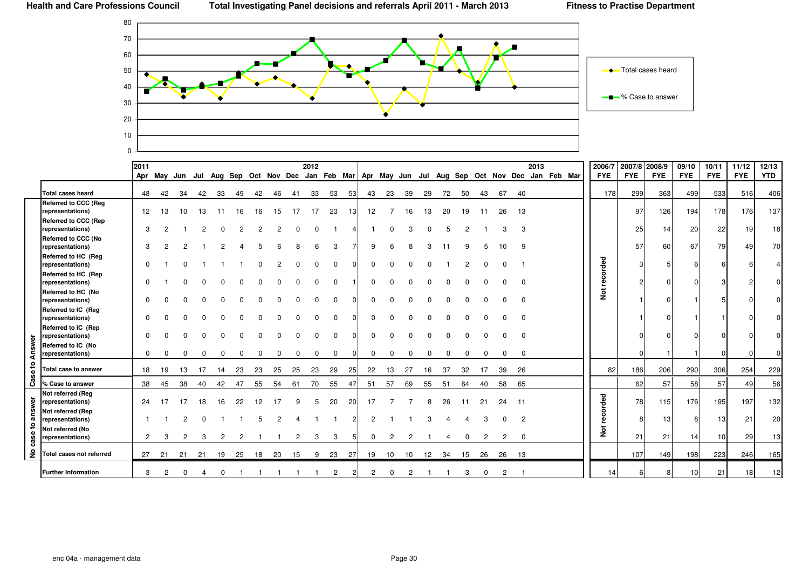

|                |                                         | 2011            |    |     |    |     |    |    |    |    | 2012 | Apr May Jun Jul Aug Sep Oct Nov Dec Jan Feb Mar Apr May Jun Jul Aug Sep Oct Nov Dec |     |          |    |    |    |    |    |    |    |    | 2013 | Jan Feb Mar | 2006/7<br><b>FYE</b> | 2007/8 2008/9<br><b>FYE</b> | <b>FYE</b> | 09/10<br><b>FYE</b> | 10/11<br><b>FYE</b> | 11/12<br><b>FYE</b> | 12/13<br><b>YTD</b> |
|----------------|-----------------------------------------|-----------------|----|-----|----|-----|----|----|----|----|------|-------------------------------------------------------------------------------------|-----|----------|----|----|----|----|----|----|----|----|------|-------------|----------------------|-----------------------------|------------|---------------------|---------------------|---------------------|---------------------|
|                |                                         |                 |    |     |    |     |    |    |    |    |      |                                                                                     |     |          |    |    |    |    |    |    |    |    |      |             |                      |                             |            |                     |                     |                     |                     |
|                | <b>Total cases heard</b>                | 48              | 42 | 34  | 42 | -33 | 49 | 42 | 46 | 41 | 33   | 53                                                                                  | 531 | 43       | 23 | 39 | 29 | 72 | 50 | 43 | 67 | 40 |      |             | 178                  | 299                         | 363        | 499                 | 533                 | 516                 | 406                 |
|                | <b>Referred to CCC (Reg</b>             |                 |    |     |    |     |    |    |    |    |      |                                                                                     |     |          |    |    |    |    |    |    |    |    |      |             |                      |                             |            |                     |                     |                     |                     |
|                | representations)                        | 12 <sup>2</sup> | 13 | 10  | 13 | -11 | 16 | 16 | 15 | 17 | 17   | 23                                                                                  | 13  | 12       |    | 16 | 13 | 20 | 19 | 11 | 26 | 13 |      |             |                      | 97                          | 126        | 194                 | 178                 | 176                 | 137                 |
|                | Referred to CCC (Rep                    | 3               |    |     |    |     |    |    |    |    |      |                                                                                     |     |          |    |    |    |    |    |    |    |    |      |             |                      |                             |            |                     |                     |                     |                     |
|                | representations)                        |                 |    |     |    |     |    |    |    |    |      |                                                                                     |     |          |    |    |    |    |    |    |    | 3  |      |             |                      | 25                          | 14         | 20                  | 22                  | 19                  | 18                  |
|                | Referred to CCC (No<br>representations) | 3               |    |     |    |     |    |    |    |    |      | 3                                                                                   |     | 9        |    |    |    |    |    |    | 10 | 9  |      |             |                      | 57                          | 60         | 67                  | 79                  | 49                  | 70                  |
|                | Referred to HC (Reg                     |                 |    |     |    |     |    |    |    |    |      |                                                                                     |     |          |    |    |    |    |    |    |    |    |      |             |                      |                             |            |                     |                     |                     |                     |
|                | representations)                        |                 |    |     |    |     |    |    |    |    |      |                                                                                     |     |          |    |    |    |    |    |    |    |    |      |             |                      | 3                           |            |                     |                     |                     |                     |
|                | Referred to HC (Rep                     |                 |    |     |    |     |    |    |    |    |      |                                                                                     |     |          |    |    |    |    |    |    |    |    |      |             | recorded             | $\mathcal{P}$               |            |                     |                     |                     |                     |
|                | representations)<br>Referred to HC (No  |                 |    |     |    |     |    |    |    |    |      |                                                                                     |     |          |    |    |    |    |    |    |    |    |      |             |                      |                             |            |                     |                     |                     |                     |
|                | representations)                        |                 |    |     |    |     |    |    |    |    |      |                                                                                     |     |          |    |    |    |    |    |    |    |    |      |             | $\frac{5}{2}$        |                             |            |                     |                     |                     |                     |
|                | Referred to IC (Reg                     |                 |    |     |    |     |    |    |    |    |      |                                                                                     |     |          |    |    |    |    |    |    |    |    |      |             |                      |                             |            |                     |                     |                     |                     |
|                | representations)                        |                 |    |     |    |     |    |    |    |    |      |                                                                                     |     |          |    |    |    |    |    |    |    |    |      |             |                      |                             |            |                     |                     |                     |                     |
|                | Referred to IC (Rep                     |                 |    |     |    |     |    |    |    |    |      |                                                                                     |     |          |    |    |    |    |    |    |    |    |      |             |                      |                             |            |                     |                     |                     |                     |
|                | representations)                        |                 |    |     |    |     |    |    |    |    |      |                                                                                     |     |          |    |    |    |    |    |    |    |    |      |             |                      |                             |            |                     |                     |                     |                     |
|                | Referred to IC (No                      |                 |    |     |    |     |    |    |    |    |      |                                                                                     |     |          |    |    |    |    |    |    |    |    |      |             |                      |                             |            |                     |                     |                     |                     |
| Answer         | representations)                        | $\Omega$        |    |     |    |     |    |    |    |    |      |                                                                                     |     | $\Omega$ |    |    |    |    |    |    |    |    |      |             |                      | O                           |            |                     |                     |                     |                     |
| ₽              | Total case to answer                    | 18              | 19 | 13  |    | 14  | 23 | 23 | 25 | 25 | 23   | 29                                                                                  | -25 | 22       | 13 | 27 | 16 | 37 | 32 | 17 | 39 | 26 |      |             | 82                   | 186                         | 206        | 290                 | 306                 | 254                 | 229                 |
| Cas            | % Case to answer                        | 38              | 45 | 38  | 40 | 42  | 47 | 55 | 54 | 61 | 70   | 55                                                                                  | 47  | 51       | 57 | 69 | 55 | 51 | 64 | 40 | 58 | 65 |      |             |                      | 62                          | 57         | 58                  | 57                  | 49                  | 56                  |
|                | Not referred (Reg                       |                 |    |     |    |     |    |    |    |    |      |                                                                                     |     |          |    |    |    |    |    |    |    |    |      |             |                      |                             |            |                     |                     |                     |                     |
| answer         | representations)                        | 24              | 17 | 17  | 18 | 16  | 22 | 12 |    |    |      | 20                                                                                  | 20  | 17       |    |    |    | 26 |    | 21 | 24 | 11 |      |             | corded               | 78                          | 115        | 176                 | 195                 | 197                 | 132                 |
|                | Not referred (Rep<br>representations)   |                 |    |     |    |     |    |    |    |    |      |                                                                                     |     |          |    |    |    |    |    |    |    | 2  |      |             |                      | 8                           | 13         |                     | 13 <sup>l</sup>     | 21                  | 20                  |
| $\overline{5}$ | Not referred (No                        |                 |    |     |    |     |    |    |    |    |      |                                                                                     |     |          |    |    |    |    |    |    |    |    |      |             | စ္                   |                             |            |                     |                     |                     |                     |
| case           | representations)                        | $^{2}$          | 3  |     |    |     |    |    |    |    | 3    | 3                                                                                   |     | $\Omega$ | 2  |    |    |    |    |    | 2  |    |      |             | $\frac{5}{2}$        | 21                          | 21         | 14                  | 10                  | 29                  | 13                  |
| $\epsilon$     | Total cases not referred                | 27              | 21 | -21 | 21 | 19  | 25 | 18 | 20 | 15 | 9    | 23                                                                                  | -27 | 19       | 10 | 10 | 12 | 34 | 15 | 26 | 26 | 13 |      |             |                      | 107                         | 149        | 198                 | 223                 | 246                 | 165                 |
|                | <b>Further Information</b>              | 3               |    |     |    |     |    |    |    |    |      |                                                                                     |     |          |    |    |    |    |    |    |    |    |      |             | 14                   | 6                           | 81         | 10 <sup>1</sup>     | 21                  | 18                  | 12                  |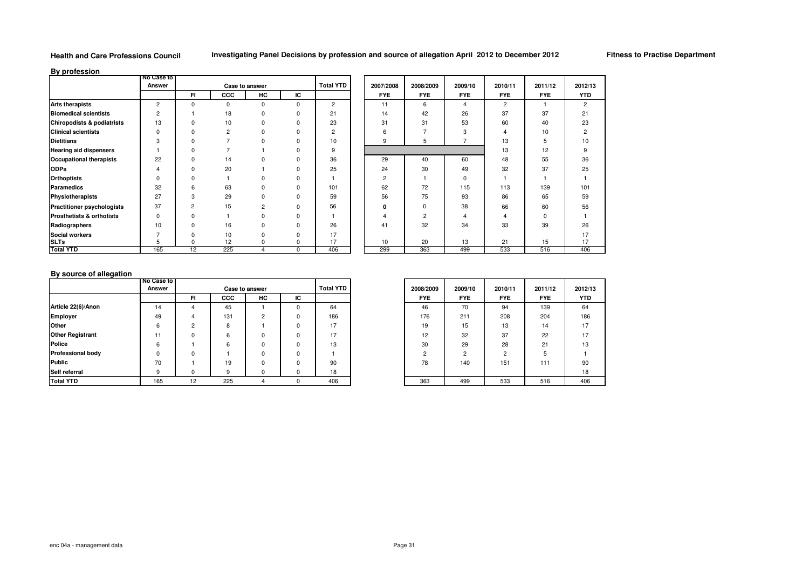**Fitness to Practise Department**

**By profession**

| -, , ,                                | <b>No Case to</b> |             |                |                |             |                  |                |                |            |                |            |                |
|---------------------------------------|-------------------|-------------|----------------|----------------|-------------|------------------|----------------|----------------|------------|----------------|------------|----------------|
|                                       | Answer            |             |                | Case to answer |             | <b>Total YTD</b> | 2007/2008      | 2008/2009      | 2009/10    | 2010/11        | 2011/12    | 2012/13        |
|                                       |                   | FI.         | ccc            | HC             | IС          |                  | <b>FYE</b>     | <b>FYE</b>     | <b>FYE</b> | <b>FYE</b>     | <b>FYE</b> | <b>YTD</b>     |
| <b>Arts therapists</b>                | $\overline{2}$    | $\mathbf 0$ | 0              | $\Omega$       | $\mathbf 0$ | $\overline{2}$   | 11             | 6              | 4          | $\overline{2}$ |            | $\overline{2}$ |
| <b>Biomedical scientists</b>          | 2                 |             | 18             | $\Omega$       | $\Omega$    | 21               | 14             | 42             | 26         | 37             | 37         | 21             |
| <b>Chiropodists &amp; podiatrists</b> | 13                | $\Omega$    | 10             | $\Omega$       | $\Omega$    | 23               | 31             | 31             | 53         | 60             | 40         | 23             |
| <b>Clinical scientists</b>            | $\Omega$          |             | $\overline{2}$ | $\Omega$       | 0           | $\overline{2}$   |                |                | 3          |                | 10         | $\overline{c}$ |
| <b>Dietitians</b>                     | З                 |             |                |                | 0           | 10               | 9              | 5              |            | 13             | 5          | 10             |
| <b>Hearing aid dispensers</b>         |                   |             |                |                | U           | 9                |                |                |            | 13             | 12         | 9              |
| <b>Occupational therapists</b>        | 22                | ŋ           | 14             | n              | n           | 36               | 29             | 40             | 60         | 48             | 55         | 36             |
| <b>ODPs</b>                           | 4                 |             | 20             |                | $\Omega$    | 25               | 24             | 30             | 49         | 32             | 37         | 25             |
| <b>Orthoptists</b>                    | U                 |             |                | $\Omega$       | U           |                  | $\overline{2}$ |                | U          |                |            |                |
| <b>Paramedics</b>                     | 32                | 6           | 63             | $\Omega$       | $\Omega$    | 101              | 62             | 72             | 115        | 113            | 139        | 101            |
| Physiotherapists                      | 27                | 3           | 29             | $\Omega$       | $\Omega$    | 59               | 56             | 75             | 93         | 86             | 65         | 59             |
| <b>Practitioner psychologists</b>     | 37                | 2           | 15             | $\overline{c}$ | $\Omega$    | 56               |                | $\Omega$       | 38         | 66             | 60         | 56             |
| Prosthetists & orthotists             | $\Omega$          | $\Omega$    |                | $\Omega$       | $\Omega$    |                  |                | $\mathfrak{p}$ |            | 4              | 0          |                |
| Radiographers                         | 10                | $\Omega$    | 16             | $\Omega$       | $\Omega$    | 26               | 41             | 32             | 34         | 33             | 39         | 26             |
| <b>Social workers</b>                 |                   |             | 10             |                | $\Omega$    | 17               |                |                |            |                |            | 17             |
| <b>SLTs</b>                           |                   | $\Omega$    | 12             |                | 0           | 17               | 10             | 20             | 13         | 21             | 15         | 17             |
| <b>Total YTD</b>                      | 165               | 12          | 225            |                | $\mathbf 0$ | 406              | 299            | 363            | 499        | 533            | 516        | 406            |

### **By source of allegation**

| $\sim$                   | I No Case to I |        |     |                |    |                  |            |               |            |            |  |
|--------------------------|----------------|--------|-----|----------------|----|------------------|------------|---------------|------------|------------|--|
|                          | Answer         |        |     | Case to answer |    | <b>Total YTD</b> | 2008/2009  | 2009/10       | 2010/11    | 2011/12    |  |
|                          |                | FI.    | CCC | HC             | IС |                  | <b>FYE</b> | <b>FYE</b>    | <b>FYE</b> | <b>FYE</b> |  |
| Article 22(6)/Anon       | 14             |        | 45  |                |    | 64               | 46         | 70            | 94         | 139        |  |
| Employer                 | 49             |        | 131 | 2              |    | 186              | 176        | 211           | 208        | 204        |  |
| Other                    | ĥ              | $\sim$ | 8   |                |    | 17               | 19         | 15            | 13         | 14         |  |
| <b>Other Registrant</b>  | 11             |        | 6   | 0              |    | 17               | 12         | 32            | 37         | 22         |  |
| <b>Police</b>            | 6              |        | 6   | $\Omega$       |    | 13               | 30         | 29            | 28         | 21         |  |
| <b>Professional body</b> | $\Omega$       | ŋ      |     | $\Omega$       |    |                  | C          | $\mathcal{P}$ | $\sqrt{2}$ |            |  |
| Public                   | 70             |        | 19  | $\Omega$       |    | 90               | 78         | 140           | 151        | 111        |  |
| Self referral            | 9              | 0      | 9   | $\Omega$       |    | 18               |            |               |            |            |  |
| <b>Total YTD</b>         | 165            | 12     | 225 | 4              |    | 406              | 363        | 499           | 533        | 516        |  |

|    | <b>Total YTD</b> | 2008/2009      | 2009/10        | 2010/11        | 2011/12    |
|----|------------------|----------------|----------------|----------------|------------|
| C. |                  | <b>FYE</b>     | <b>FYE</b>     | <b>FYE</b>     | <b>FYE</b> |
| 0  | 64               | 46             | 70             | 94             | 139        |
| 0  | 186              | 176            | 211            | 208            | 204        |
| 0  | 17               | 19             | 15             | 13             | 14         |
| 0  | 17               | 12             | 32             | 37             | 22         |
| 0  | 13               | 30             | 29             | 28             | 21         |
| 0  |                  | $\overline{2}$ | $\overline{2}$ | $\overline{c}$ | 5          |
| 0  | 90               | 78             | 140            | 151            | 111        |
| 0  | 18               |                |                |                |            |
| U  | 406              | 363            | 499            | 533            | 516        |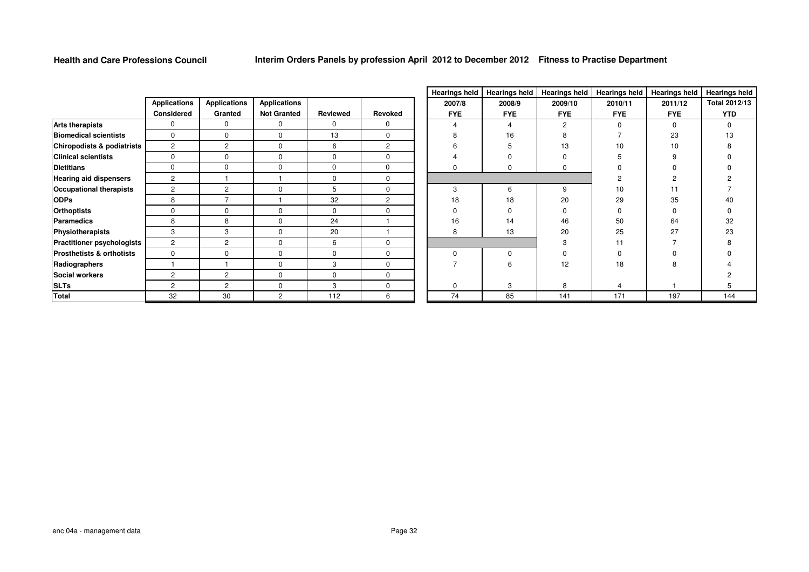|                                       |                     |                     |                     |          |                |            |            | Treatings held   Hearings held   Hearings held   Hearings held   Hearings held   Hearings |            |            |            |
|---------------------------------------|---------------------|---------------------|---------------------|----------|----------------|------------|------------|-------------------------------------------------------------------------------------------|------------|------------|------------|
|                                       | <b>Applications</b> | <b>Applications</b> | <b>Applications</b> |          |                | 2007/8     | 2008/9     | 2009/10                                                                                   | 2010/11    | 2011/12    | Total 20   |
|                                       | Considered          | Granted             | <b>Not Granted</b>  | Reviewed | Revoked        | <b>FYE</b> | <b>FYE</b> | <b>FYE</b>                                                                                | <b>FYE</b> | <b>FYE</b> | <b>YTE</b> |
| <b>Arts therapists</b>                | 0                   | $\mathbf{0}$        | 0                   | 0        | $\Omega$       | 4          | 4          | $\overline{2}$                                                                            | $\Omega$   | $\Omega$   | $\Omega$   |
| <b>Biomedical scientists</b>          | 0                   | $\Omega$            | 0                   | 13       | $\mathbf 0$    |            | 16         |                                                                                           |            | 23         | 13         |
| <b>Chiropodists &amp; podiatrists</b> | $\overline{2}$      | $\overline{2}$      | 0                   | 6        | $\overline{2}$ |            |            | 13                                                                                        | 10         | 10         |            |
| <b>Clinical scientists</b>            | U                   | $\Omega$            | $\Omega$            | $\Omega$ | $\Omega$       |            |            |                                                                                           |            |            |            |
| <b>Dietitians</b>                     | $\Omega$            | 0                   | 0                   | 0        | 0              |            |            |                                                                                           |            |            |            |
| <b>Hearing aid dispensers</b>         | $\overline{2}$      |                     |                     | $\Omega$ | $\mathbf{0}$   |            |            |                                                                                           |            |            |            |
| <b>Occupational therapists</b>        | $\overline{2}$      | 2                   | $\Omega$            | 5        | $\Omega$       | 3          | 6          | 9                                                                                         | 10         | 11         |            |
| <b>ODPs</b>                           | 8                   |                     |                     | 32       | 2              | 18         | 18         | 20                                                                                        | 29         | 35         | 40         |
| <b>Orthoptists</b>                    | O                   | $\Omega$            | $\Omega$            | $\Omega$ | 0              |            |            |                                                                                           |            |            |            |
| Paramedics                            | 8                   | 8                   | 0                   | 24       |                | 16         | 14         | 46                                                                                        | 50         | 64         | 32         |
| Physiotherapists                      | 3                   | 3                   | 0                   | 20       |                | 8          | 13         | 20                                                                                        | 25         | 27         | 23         |
| <b>Practitioner psychologists</b>     | 2                   | 2                   | 0                   | 6        | $\mathbf{0}$   |            |            |                                                                                           | 11         |            |            |
| <b>Prosthetists &amp; orthotists</b>  | $\Omega$            | 0                   | 0                   | $\Omega$ | $\mathbf 0$    |            |            |                                                                                           |            |            |            |
| Radiographers                         |                     |                     | 0                   | 3        | $\mathbf 0$    |            |            | 12                                                                                        | 18         |            |            |
| <b>Social workers</b>                 | 2                   | 2                   | 0                   | $\Omega$ | $\mathbf 0$    |            |            |                                                                                           |            |            |            |
| <b>SLTs</b>                           | 2                   | 2                   | $\Omega$            | 3        | $\mathbf 0$    | 0          | 3          | 8                                                                                         |            |            |            |
| <b>Total</b>                          | 32                  | 30                  | $\overline{2}$      | 112      | 6              | 74         | 85         | 141                                                                                       | 171        | 197        | 144        |

|   | <b>Hearings held</b>    | <b>Hearings held</b> | <b>Hearings held</b> | <b>Hearings held</b> | <b>Hearings held</b> | <b>Hearings held</b> |
|---|-------------------------|----------------------|----------------------|----------------------|----------------------|----------------------|
|   | 2007/8                  | 2008/9               | 2009/10              | 2010/11              | 2011/12              | <b>Total 2012/13</b> |
| d | <b>FYE</b>              | <b>FYE</b>           | <b>FYE</b>           | <b>FYE</b>           | <b>FYE</b>           | <b>YTD</b>           |
|   | $\overline{4}$          | $\overline{4}$       | $\overline{c}$       | $\mathbf 0$          | $\mathbf 0$          | $\Omega$             |
|   | 8                       | 16                   | 8                    | 7                    | 23                   | 13                   |
|   | 6                       | 5                    | 13                   | 10                   | 10                   | 8                    |
|   | $\overline{\mathbf{4}}$ | $\Omega$             | $\pmb{0}$            | 5                    | 9                    | $\mathbf 0$          |
|   | 0                       | 0                    | $\mathbf 0$          | $\mathbf 0$          | 0                    | 0                    |
|   |                         |                      |                      | $\overline{c}$       | $\overline{2}$       | $\overline{c}$       |
|   | 3                       | 6                    | 9                    | 10                   | 11                   | 7                    |
|   | 18                      | 18                   | 20                   | 29                   | 35                   | 40                   |
|   | $\mathbf 0$             | $\mathbf 0$          | $\mathbf 0$          | $\mathbf 0$          | $\mathbf 0$          | $\mathbf 0$          |
|   | 16                      | 14                   | 46                   | 50                   | 64                   | 32                   |
|   | 8                       | 13                   | 20                   | 25                   | 27                   | 23                   |
|   |                         |                      | 3                    | 11                   | $\overline{7}$       | 8                    |
|   | $\pmb{0}$               | 0                    | $\mathbf 0$          | $\mathbf 0$          | 0                    | $\mathbf 0$          |
|   | 7                       | 6                    | 12                   | 18                   | 8                    | 4                    |
|   |                         |                      |                      |                      |                      | 2                    |
|   | 0                       | 3                    | 8                    | $\overline{4}$       |                      | 5                    |
|   | 74                      | 85                   | 141                  | 171                  | 197                  | 144                  |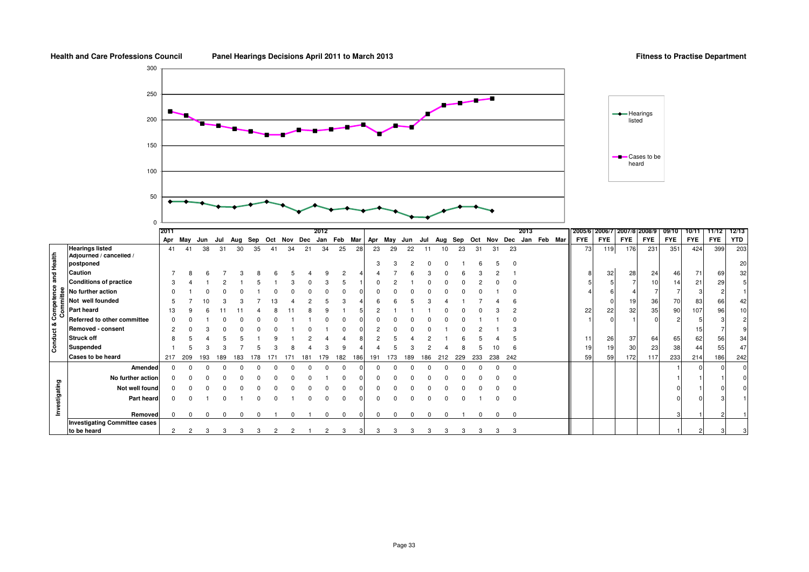### **Fitness to Practise Department**

listed

Cases to be heard



|               |                                                                                                                                                                                                                                                                                                                                                   | 2011           |                |     |     |     |     |         |    |     | 2012    |            |     |             |              |     |     |     |     |         |     |            | 2013 |             | 2005/6   2006/7   2007/8   2008/9 |            |            |            | 09/10           |            | 10/11 11/12 | 12/13 1 |
|---------------|---------------------------------------------------------------------------------------------------------------------------------------------------------------------------------------------------------------------------------------------------------------------------------------------------------------------------------------------------|----------------|----------------|-----|-----|-----|-----|---------|----|-----|---------|------------|-----|-------------|--------------|-----|-----|-----|-----|---------|-----|------------|------|-------------|-----------------------------------|------------|------------|------------|-----------------|------------|-------------|---------|
|               |                                                                                                                                                                                                                                                                                                                                                   | Apr            | Mav            | Jun | Jul | Aug | Sep | Oct Nov |    | Dec | Jan Feb |            | Mar | Apr         | May          | Jun | Jul | Aug |     | Sep Oct | Nov | Dec        |      | Jan Feb Mar | <b>FYE</b>                        | <b>FYE</b> | <b>FYE</b> | <b>FYE</b> | <b>FYE</b>      | <b>FYE</b> | <b>FYE</b>  | YTD     |
|               | <b>Hearings listed</b>                                                                                                                                                                                                                                                                                                                            | 41             | 41             | 38  | 31  | 30  | 35  | 41      | 34 | 21  | 34      | 25         | 28  | 23          | 29           | 22  |     |     | 23  | 31      | 31  | 23         |      |             | 73                                | 119        | 176        | 231        | 351             | 424        | 399         | 203     |
|               | Adjourned / cancelled /                                                                                                                                                                                                                                                                                                                           |                |                |     |     |     |     |         |    |     |         |            |     |             |              |     |     |     |     |         |     |            |      |             |                                   |            |            |            |                 |            |             |         |
|               |                                                                                                                                                                                                                                                                                                                                                   |                |                |     |     |     |     |         |    |     |         |            |     | з           |              |     |     |     |     |         |     |            |      |             |                                   |            |            |            |                 |            |             | 20      |
|               |                                                                                                                                                                                                                                                                                                                                                   |                |                |     |     |     |     |         |    |     |         |            |     |             |              |     |     |     |     |         |     |            |      |             |                                   | 32         | 28         | 24         | 46              | 71         | 69          | 32      |
|               | <b>Conditions of practice</b>                                                                                                                                                                                                                                                                                                                     |                |                |     |     |     |     |         |    |     |         |            |     |             |              |     |     |     |     |         |     |            |      |             |                                   |            |            | 10         | 14              | 21         | 29          |         |
|               |                                                                                                                                                                                                                                                                                                                                                   |                |                |     |     |     |     |         |    |     |         |            |     |             |              |     |     |     |     |         |     |            |      |             |                                   |            |            |            |                 |            |             |         |
|               | Not well founded                                                                                                                                                                                                                                                                                                                                  |                |                |     |     |     |     |         |    |     |         |            |     |             |              |     |     |     |     |         |     |            |      |             |                                   |            | 19         | 36         | 70              | 83         | 66          | 42      |
|               |                                                                                                                                                                                                                                                                                                                                                   |                |                |     |     |     |     |         |    |     |         |            |     |             |              |     |     |     |     |         |     |            |      |             | 22                                | 22         | 32         | 35         | 90              | 107        | 96          | 10      |
|               | Referred to other committee                                                                                                                                                                                                                                                                                                                       |                |                |     |     |     |     |         |    |     |         |            |     |             |              |     |     |     |     |         |     |            |      |             |                                   |            |            |            |                 |            |             |         |
|               | Removed - consent                                                                                                                                                                                                                                                                                                                                 |                |                |     |     |     |     |         |    |     |         |            |     |             |              |     |     |     |     |         |     |            |      |             |                                   |            |            |            |                 | 15         |             |         |
|               |                                                                                                                                                                                                                                                                                                                                                   |                |                |     |     |     |     |         |    |     |         |            |     |             |              |     |     |     |     |         |     |            |      |             | 11                                | 26         | 37         | 64         | 65              | 62         | 56          | 34      |
|               | Hearings listed<br>$\frac{1}{2}$<br>$\frac{1}{2}$<br>$\frac{1}{2}$<br>$\frac{1}{2}$<br>$\frac{1}{2}$<br>$\frac{1}{2}$<br>$\frac{1}{2}$<br>$\frac{1}{2}$<br>$\frac{1}{2}$<br>$\frac{1}{2}$<br>$\frac{1}{2}$<br>$\frac{1}{2}$<br>$\frac{1}{2}$<br>$\frac{1}{2}$<br>$\frac{1}{2}$<br>$\frac{1}{2}$<br>$\frac{1}{2}$<br>$\frac{1}{2}$<br>$\frac{1}{2$ |                |                |     |     |     |     |         |    |     |         |            |     |             |              |     |     |     |     |         |     |            |      |             | 19                                | 19         | 30         | 23         | 38 <sub>l</sub> | 44         | 55          | 47      |
|               | Cases to be heard                                                                                                                                                                                                                                                                                                                                 | 217            | 209            | 193 | 189 | 183 | 178 |         |    | 18٬ | 179     | 182        | 186 | 191         | 173          | 189 | 186 | 212 | 229 | 233     | 238 | 242        |      |             | 59                                | 59         | 172        | 117        | 233             | 214        | 186         | 242     |
|               | Amended                                                                                                                                                                                                                                                                                                                                           |                |                |     |     |     |     |         |    |     |         |            |     |             |              |     |     |     |     |         |     | $^{\circ}$ |      |             |                                   |            |            |            |                 |            |             |         |
|               | No further action                                                                                                                                                                                                                                                                                                                                 |                |                |     |     |     |     |         |    |     |         |            |     |             |              |     |     |     |     |         |     |            |      |             |                                   |            |            |            |                 |            |             |         |
| Investigating | Not well found                                                                                                                                                                                                                                                                                                                                    |                |                |     |     |     |     |         |    |     |         |            |     |             |              |     |     |     |     |         |     |            |      |             |                                   |            |            |            |                 |            |             |         |
|               | Part heard                                                                                                                                                                                                                                                                                                                                        |                |                |     |     |     |     |         |    |     |         |            |     |             |              |     |     |     |     |         |     |            |      |             |                                   |            |            |            |                 |            |             |         |
|               |                                                                                                                                                                                                                                                                                                                                                   |                |                |     |     |     |     |         |    |     |         |            |     |             |              |     |     |     |     |         |     |            |      |             |                                   |            |            |            |                 |            |             |         |
|               | Removed                                                                                                                                                                                                                                                                                                                                           | <sup>0</sup>   |                |     |     |     |     |         |    |     |         | $^{\circ}$ |     | $\mathbf 0$ | <sup>0</sup> |     |     |     |     |         |     | $\Omega$   |      |             |                                   |            |            |            |                 |            |             |         |
|               | <b>Investigating Committee cases</b>                                                                                                                                                                                                                                                                                                              |                |                |     |     |     |     |         |    |     |         |            |     |             |              |     |     |     |     |         |     |            |      |             |                                   |            |            |            |                 |            |             |         |
|               | to be heard                                                                                                                                                                                                                                                                                                                                       | $\overline{2}$ | $\overline{c}$ |     | з   |     |     |         |    |     |         |            |     | 3           | 3            |     | 3   | 3   | з   | з       | 3   | 3          |      |             |                                   |            |            |            |                 |            |             |         |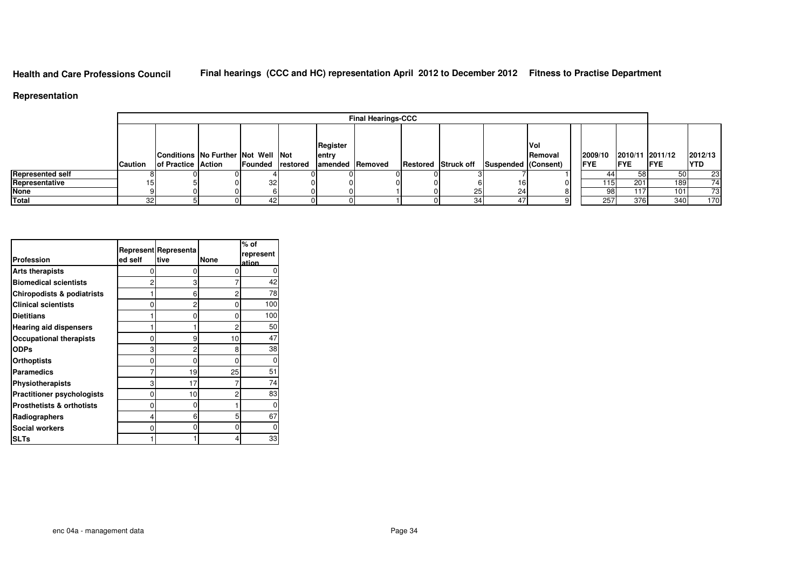# **Final hearings (CCC and HC) representation April 2012 to December 2012 Fitness to Practise Department**

### **Representation**

|                         |                |                                    |                  |                 | <b>Final Hearings-CCC</b> |                            |                     |                 |             |                 |            |            |
|-------------------------|----------------|------------------------------------|------------------|-----------------|---------------------------|----------------------------|---------------------|-----------------|-------------|-----------------|------------|------------|
|                         |                |                                    |                  |                 |                           |                            |                     |                 |             |                 |            |            |
|                         |                |                                    |                  | Register        |                           |                            |                     | Vol             |             |                 |            |            |
|                         |                | Conditions No Further Not Well Not |                  | entry           |                           |                            |                     | <b>IRemoval</b> | 2009/10     | 2010/11 2011/12 |            | 2012/13    |
|                         | <b>Caution</b> | <b>of Practice Action</b>          | Founded restored | amended Removed |                           | <b>Restored Struck off</b> | Suspended (Consent) |                 | <b>IFYE</b> | <b>IFYE</b>     | <b>FYE</b> | <b>YTD</b> |
| <b>Represented self</b> |                |                                    |                  |                 |                           |                            |                     |                 |             | 58              | 50 l       | 23         |
| Representative          |                |                                    | 32               | nι              |                           |                            |                     |                 | 115 I       | 201             | 189        | 74         |
| <b>None</b>             |                |                                    |                  |                 |                           |                            | 241                 |                 | 98          | 117             | 101        | 73         |
| Total                   | 32             |                                    |                  |                 |                           |                            |                     |                 | 257         | 376             | 340        | 170        |

| Profession                            | ed self | Represent Representa<br>ltive | <b>None</b> | $%$ of<br>represent<br>ation |
|---------------------------------------|---------|-------------------------------|-------------|------------------------------|
| <b>Arts therapists</b>                | O       | 0                             | ი           | O                            |
| <b>Biomedical scientists</b>          | 2       | 3                             |             | 42                           |
| <b>Chiropodists &amp; podiatrists</b> |         | 6                             | 2           | 78                           |
| <b>Clinical scientists</b>            | O       | 2                             | 0           | 100                          |
| <b>Dietitians</b>                     |         | 0                             | 0           | 100                          |
| <b>Hearing aid dispensers</b>         |         |                               | 2           | 50                           |
| <b>Occupational therapists</b>        | 0       | 9                             | 10          | 47                           |
| <b>ODPs</b>                           | 3       | 2                             | 8           | 38                           |
| <b>Orthoptists</b>                    | 0       | O                             | 0           | O                            |
| Paramedics                            |         | 19                            | 25          | 51                           |
| <b>Physiotherapists</b>               | 3       | 17                            | 7           | 74                           |
| <b>Practitioner psychologists</b>     | 0       | 10                            | 2           | 83                           |
| <b>Prosthetists &amp; orthotists</b>  | 0       | 0                             |             | O                            |
| Radiographers                         | 4       | 6                             | 5           | 67                           |
| <b>Social workers</b>                 | 0       | ი                             | 0           |                              |
| <b>SLTs</b>                           |         |                               | 4           | 33                           |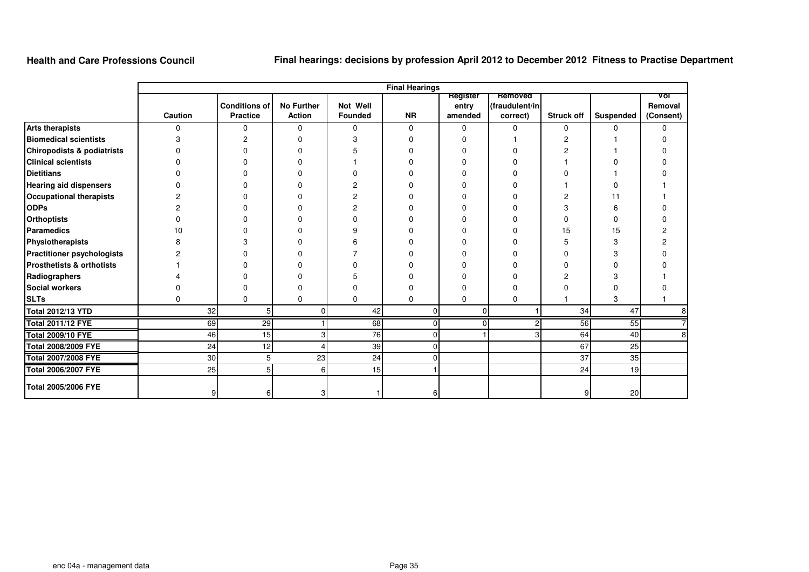# **Final hearings: decisions by profession April 2012 to December 2012 Fitness to Practise Department**

|                                      |         |                      |                   |          | <b>Final Hearings</b> |                  |                           |                   |           |                |
|--------------------------------------|---------|----------------------|-------------------|----------|-----------------------|------------------|---------------------------|-------------------|-----------|----------------|
|                                      |         | <b>Conditions of</b> | <b>No Further</b> | Not Well |                       | <b>Register</b>  | Removed<br>(fraudulent/in |                   |           | Vol<br>Removal |
|                                      | Caution | <b>Practice</b>      | <b>Action</b>     | Founded  | <b>NR</b>             | entry<br>amended | correct)                  | <b>Struck off</b> | Suspended | (Consent)      |
| <b>Arts therapists</b>               | n       | 0                    | 0                 | 0        | 0                     | $\Omega$         | 0                         | 0                 |           | 0              |
| <b>Biomedical scientists</b>         |         | 2                    | 0                 | 3        | n                     |                  |                           | 2                 |           |                |
| Chiropodists & podiatrists           |         |                      | ŋ                 |          |                       |                  |                           |                   |           |                |
| <b>Clinical scientists</b>           |         |                      |                   |          |                       |                  |                           |                   |           |                |
| <b>Dietitians</b>                    |         |                      |                   |          |                       |                  |                           |                   |           |                |
| <b>Hearing aid dispensers</b>        |         |                      |                   |          |                       |                  |                           |                   |           |                |
| <b>Occupational therapists</b>       |         |                      |                   |          |                       |                  |                           |                   |           |                |
| <b>ODPs</b>                          |         |                      |                   |          |                       |                  |                           | З                 |           |                |
| <b>Orthoptists</b>                   |         |                      |                   |          |                       |                  |                           |                   |           |                |
| <b>Paramedics</b>                    |         |                      |                   |          |                       |                  |                           | 15                | 15        |                |
| Physiotherapists                     |         |                      |                   |          |                       |                  |                           | 5                 |           |                |
| <b>Practitioner psychologists</b>    |         |                      |                   |          |                       |                  |                           | U                 |           |                |
| <b>Prosthetists &amp; orthotists</b> |         |                      |                   |          |                       |                  |                           | n                 |           |                |
| Radiographers                        |         |                      |                   |          |                       |                  |                           |                   |           |                |
| <b>Social workers</b>                |         |                      | ŋ                 |          |                       |                  |                           |                   |           |                |
| <b>SLTs</b>                          | n       | $\Omega$             | $\Omega$          | 0        | $\Omega$              | 0                | 0                         |                   | 3         |                |
| <b>Total 2012/13 YTD</b>             | 32      |                      |                   | 42       | 0                     |                  |                           | 34                | 47        | 8              |
| <b>Total 2011/12 FYE</b>             | 69      | $\overline{29}$      |                   | 68       | $\Omega$              | 0                | 2                         | 56                | 55        | $\overline{7}$ |
| <b>Total 2009/10 FYE</b>             | 46      | 15                   |                   | 76       | 0                     |                  |                           | 64                | 40        | 8              |
| <b>Total 2008/2009 FYE</b>           | 24      | 12                   |                   | 39       | ი                     |                  |                           | 67                | 25        |                |
| <b>Total 2007/2008 FYE</b>           | 30      | 5                    | 23                | 24       | n                     |                  |                           | 37                | 35        |                |
| <b>Total 2006/2007 FYE</b>           | 25      | 5 <sup>1</sup>       | 6                 | 15       |                       |                  |                           | 24                | 19        |                |
| <b>Total 2005/2006 FYE</b>           | 9       | 61                   |                   |          | 61                    |                  |                           | 91                | 20        |                |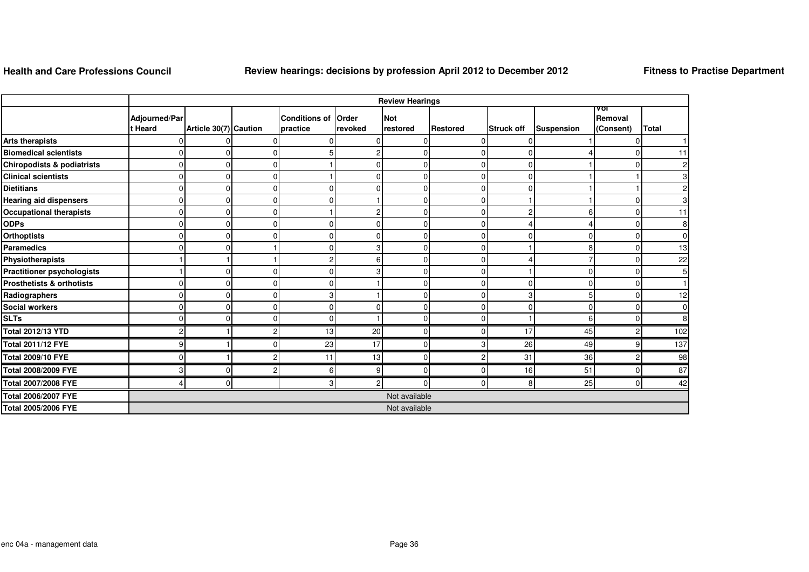## **Review hearings: decisions by profession April 2012 to December 2012**

**Fitness to Practise Department**

|                                       |                          |                       |   |                                  |                  | <b>Review Hearings</b> |                 |                   |            |                             |                  |
|---------------------------------------|--------------------------|-----------------------|---|----------------------------------|------------------|------------------------|-----------------|-------------------|------------|-----------------------------|------------------|
|                                       | Adjourned/Par<br>t Heard | Article 30(7) Caution |   | <b>Conditions of</b><br>practice | Order<br>revoked | <b>Not</b><br>restored | <b>Restored</b> | <b>Struck off</b> | Suspension | vor<br>Removal<br>(Consent) | <b>Total</b>     |
| <b>Arts therapists</b>                |                          |                       |   |                                  |                  | 0                      | $\Omega$        |                   |            |                             |                  |
| <b>Biomedical scientists</b>          |                          |                       |   |                                  |                  | $\Omega$               | $\Omega$        |                   |            |                             | 11               |
| <b>Chiropodists &amp; podiatrists</b> |                          | $\Omega$              |   |                                  |                  | $\mathbf 0$            | $\Omega$        | n                 |            |                             | 2                |
| <b>Clinical scientists</b>            |                          | $\Omega$              |   |                                  |                  | 0                      | $\Omega$        |                   |            |                             |                  |
| <b>Dietitians</b>                     |                          |                       |   |                                  |                  | 0                      | $\Omega$        |                   |            |                             |                  |
| <b>Hearing aid dispensers</b>         |                          | C                     |   |                                  |                  | 0                      | $\Omega$        |                   |            |                             |                  |
| <b>Occupational therapists</b>        |                          | $\sqrt{ }$            |   |                                  |                  | $\mathbf 0$            | $\Omega$        |                   |            |                             | 11               |
| <b>ODPs</b>                           |                          | $\Omega$              |   |                                  |                  | $\Omega$               | $\Omega$        |                   |            |                             | 8                |
| <b>Orthoptists</b>                    |                          | $\Omega$              |   |                                  | ი                | 0                      | $\Omega$        |                   |            |                             | 0                |
| <b>Paramedics</b>                     |                          | C                     |   |                                  |                  | 0                      | $\Omega$        |                   |            |                             | 13               |
| Physiotherapists                      |                          |                       |   |                                  |                  | 0                      | $\Omega$        |                   |            |                             | 22               |
| <b>Practitioner psychologists</b>     |                          | ſ                     |   |                                  |                  | $\Omega$               | O               |                   |            |                             | 5                |
| <b>Prosthetists &amp; orthotists</b>  |                          | C                     |   |                                  |                  | 0                      | $\Omega$        |                   |            |                             |                  |
| Radiographers                         |                          | C                     |   |                                  |                  | 0                      | $\Omega$        |                   |            |                             | 12               |
| Social workers                        |                          | C                     |   |                                  |                  | 0                      | $\Omega$        |                   |            |                             | $\Omega$         |
| <b>SLTs</b>                           |                          | $\sqrt{ }$            |   |                                  |                  | $\Omega$               | $\Omega$        |                   | հ          | በ                           | 8                |
| <b>Total 2012/13 YTD</b>              |                          |                       |   | 13                               | 20               | $\mathbf 0$            | $\Omega$        | 17                | 45         |                             | 102              |
| <b>Total 2011/12 FYE</b>              | $\mathbf{Q}$             |                       | ∩ | 23                               | 17               | $\overline{0}$         | 3               | 26                | 49         | g                           | $\overline{137}$ |
| <b>Total 2009/10 FYE</b>              |                          |                       |   | 11                               | 13               | $\mathbf 0$            | c               | 31                | 36         |                             | 98               |
| Total 2008/2009 FYE                   | 3                        | $\Omega$              | ◠ |                                  | 9                | $\Omega$               | $\Omega$        | 16                | 51         |                             | 87               |
| Total 2007/2008 FYE                   |                          | $\Omega$              |   |                                  | $\mathcal{P}$    | $\Omega$               | $\Omega$        | 8                 | 25         | ŋ                           | 42               |
| Total 2006/2007 FYE                   |                          |                       |   |                                  |                  | Not available          |                 |                   |            |                             |                  |
| <b>Total 2005/2006 FYE</b>            |                          |                       |   |                                  |                  | Not available          |                 |                   |            |                             |                  |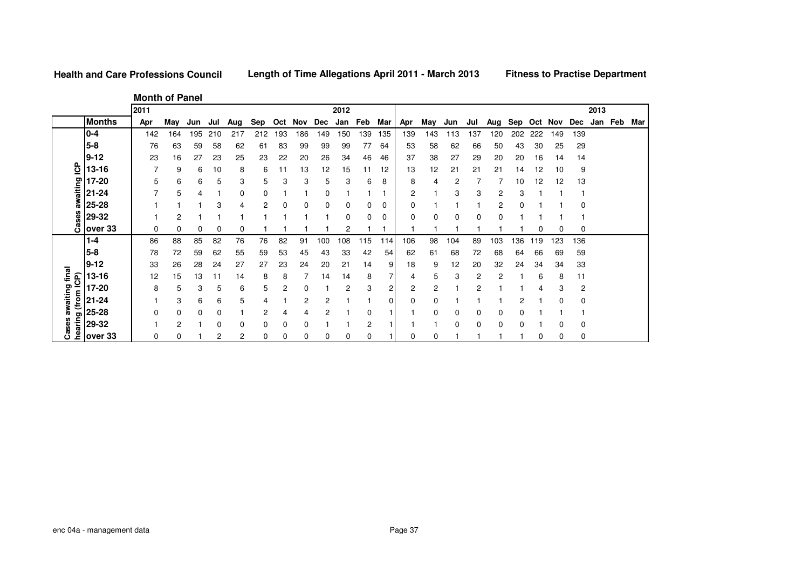**Length of Time Allegations April 2011 - March 2013**

**Month of Panel**

|                 |               | 2011 |     |     |     |     |     |     |     |     | 2012 |          |     |     |     |     |     |     |     |     |     |          | 2013 |         |     |
|-----------------|---------------|------|-----|-----|-----|-----|-----|-----|-----|-----|------|----------|-----|-----|-----|-----|-----|-----|-----|-----|-----|----------|------|---------|-----|
|                 | <b>Months</b> | Apr  | Mav | Jun | Jul | Aug | Sep | Oct | Nov | Dec | Jan  | Feb      | Mar | Apr | May | Jun | Jul | Aug | Sep | Oct | Nov | Dec      |      | Jan Feb | Mar |
|                 | $0 - 4$       | 142  | 164 | 195 | 210 | 217 | 212 | 193 | 186 | 149 | 150  | 139      | 135 | 139 | 143 | 113 | 137 | 120 | 202 | 222 | 149 | 139      |      |         |     |
|                 | $5 - 8$       | 76   | 63  | 59  | 58  | 62  | 61  | 83  | 99  | 99  | 99   | 77       | 64  | 53  | 58  | 62  | 66  | 50  | 43  | 30  | 25  | 29       |      |         |     |
|                 | $9 - 12$      | 23   | 16  | 27  | 23  | 25  | 23  | 22  | 20  | 26  | 34   | 46       | 46  | 37  | 38  | 27  | 29  | 20  | 20  | 16  | 14  | 14       |      |         |     |
| င်္             | 13-16         |      | 9   | 6   | 10  | 8   | 6   | 11  | 13  | 12  | 15   | 11       | 12  | 13  | 12  | 21  | 21  | 21  | 14  | 12  | 10  | 9        |      |         |     |
|                 | 17-20         | 5    | 6   | 6   | 5   | 3   | 5   | 3   | 3   | 5   | 3    | 6        | 8   | 8   | 4   | 2   |     |     | 10  | 12  | 12  | 13       |      |         |     |
| awaiting        | $21 - 24$     |      | 5   |     |     |     |     |     |     | 0   |      |          |     | 2   |     | 3   | 3   | 2   | 3   |     |     |          |      |         |     |
|                 | 25-28         |      |     |     | 3   |     |     |     |     | 0   | 0    |          | 0   |     |     |     |     | 2   |     |     |     | C        |      |         |     |
| Cases           | 29-32         |      | 2   |     |     |     |     |     |     |     | 0    |          | C   | 0   | 0   |     | 0   |     |     |     |     |          |      |         |     |
|                 | over 33       | 0    | 0   |     | 0   |     |     |     |     |     | 2    |          |     |     |     |     |     |     |     |     |     | 0        |      |         |     |
|                 | $1 - 4$       | 86   | 88  | 85  | 82  | 76  | 76  | 82  | 91  | 100 | 108  | 115      | 114 | 106 | 98  | 104 | 89  | 103 | 136 | 119 | 123 | 136      |      |         |     |
|                 | $5 - 8$       | 78   | 72  | 59  | 62  | 55  | 59  | 53  | 45  | 43  | 33   | 42       | 54  | 62  | 61  | 68  | 72  | 68  | 64  | 66  | 69  | 59       |      |         |     |
|                 | $9 - 12$      | 33   | 26  | 28  | 24  | 27  | 27  | 23  | 24  | 20  | 21   | 14       | 9   | 18  | 9   | 12  | 20  | 32  | 24  | 34  | 34  | 33       |      |         |     |
| final           | 13-16         | 12   | 15  | 13  | 11  | 14  | 8   | 8   |     | 14  | 14   | 8        | 7   | 4   | 5   | 3   | 2   | 2   |     | 6   | 8   | 11       |      |         |     |
| (from ICP)      | 17-20         | 8    | 5   | 3   | 5   | 6   | 5   | 2   |     |     | 2    | 3        | 2   | 2   | 2   |     | 2   |     |     |     | 3   | 2        |      |         |     |
| awaiting        | 21-24         |      | 3   | 6   | 6   | 5   |     |     | 2   |     |      |          | 0   | 0   | 0   |     |     |     |     |     |     | 0        |      |         |     |
|                 | 25-28         |      | 0   | 0   | 0   |     |     |     | 4   | 2   |      |          |     |     | 0   |     | 0   |     |     |     |     |          |      |         |     |
| hearing<br>ases | 29-32         |      | 2   |     | 0   |     |     |     | 0   |     |      | 2        |     |     |     | C   | 0   | 0   |     |     |     | 0        |      |         |     |
| ပ               | over 33       | 0    | 0   |     | 2   | 2   |     | 0   | 0   | 0   | 0    | $\Omega$ |     |     | 0   |     |     |     |     | 0   | 0   | $\Omega$ |      |         |     |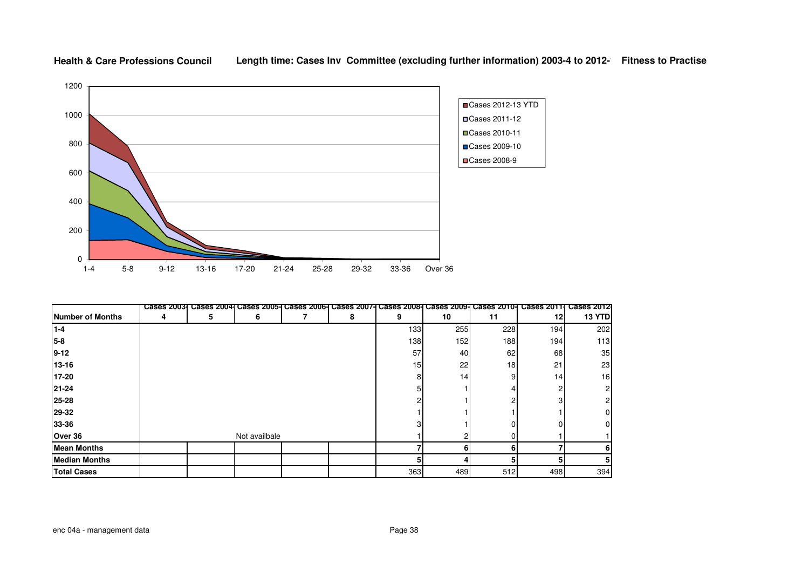

#### **Health & Care Professions Council**Length time: Cases Inv Committee (excluding further information) 2003-4 to 2012- Fitness to Practise

|                         | <b>Cases 20031</b> |   | Cases 2004 Cases 2005- Cases 2006- Cases 2007- Cases 2008- Cases 2009- Cases 2010- |   |     |                 |     | <b>Cases 20111</b> | <b>Cases 2012</b> |
|-------------------------|--------------------|---|------------------------------------------------------------------------------------|---|-----|-----------------|-----|--------------------|-------------------|
| <b>Number of Months</b> | 4                  | 5 | 6                                                                                  | 8 | 9   | 10              | 11  | 12                 | 13 YTD            |
| $1 - 4$                 |                    |   |                                                                                    |   | 133 | 255             | 228 | 194                | 202               |
| 5-8                     |                    |   |                                                                                    |   | 138 | 152             | 188 | 194                | 113               |
| $9 - 12$                |                    |   |                                                                                    |   | 57  | 40              | 62  | 68                 | 35                |
| $13 - 16$               |                    |   |                                                                                    |   | 15  | 22              | 18  | 21                 | 23                |
| 17-20                   |                    |   |                                                                                    |   |     | 14 <sub>1</sub> |     | 14                 | 16                |
| 21-24                   |                    |   |                                                                                    |   |     |                 |     |                    |                   |
| 25-28                   |                    |   |                                                                                    |   |     |                 |     |                    |                   |
| 29-32                   |                    |   |                                                                                    |   |     |                 |     |                    |                   |
| 33-36                   |                    |   |                                                                                    |   |     |                 |     |                    |                   |
| Over 36                 |                    |   | Not availbale                                                                      |   |     |                 |     |                    |                   |
| <b>Mean Months</b>      |                    |   |                                                                                    |   |     | 6               |     |                    |                   |
| <b>Median Months</b>    |                    |   |                                                                                    |   |     |                 |     |                    |                   |
| <b>Total Cases</b>      |                    |   |                                                                                    |   | 363 | 489             | 512 | 498                | 394               |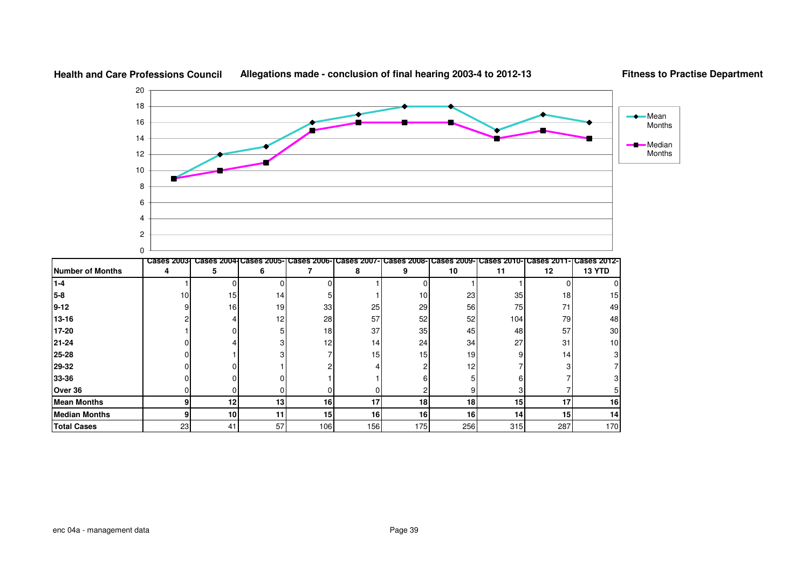

### **Allegations made - conclusion of final hearing 2003-4 to 2012-13**

**Fitness to Practise Department**

**5-8**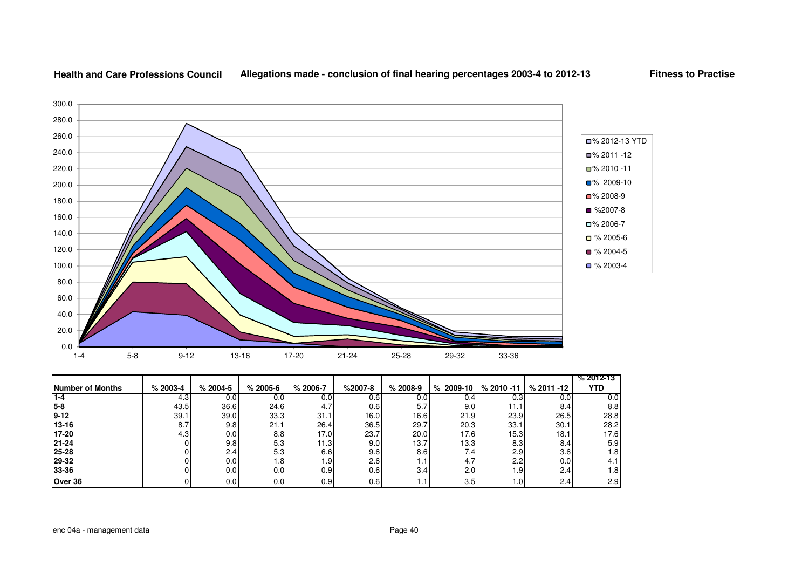

#### **Health and Care Professions CouncilAllegations made - conclusion of final hearing percentages 2003-4 to 2012-13**

**Fitness to Practise**

|                  |              |            |              |              |           |                  |             |               |               | $% 2012 - 13$ |
|------------------|--------------|------------|--------------|--------------|-----------|------------------|-------------|---------------|---------------|---------------|
| Number of Months | $% 2003 - 4$ | $% 2004-5$ | $% 2005 - 6$ | $% 2006 - 7$ | $%2007-8$ | $% 2008-9$       | $% 2009-10$ | $% 2010 - 11$ | $% 2011 - 12$ | YTD           |
| $1 - 4$          | 4.3          | 0.0        | 0.01         | 0.0          | 0.6       | 0.0              | 0.4         | 0.3           | 0.0           | 0.0           |
| $5 - 8$          | 43.5         | 36.6       | 24.6         | 4.7'         | 0.6       | 5.7              | 9.0         | 11.1          | 8.4           | 8.8           |
| $9 - 12$         | 39.1         | 39.0       | 33.3         | 31.1         | 16.0      | 16.61            | 21.9        | 23.9          | 26.5          | 28.8          |
| 13-16            | 8.7          | 9.8        | 21.1         | 26.4         | 36.5      | 29.7             | 20.3        | 33.1          | 30.1          | 28.2          |
| 17-20            | 4.3          | 0.0        | 8.8          | 17.0         | 23.7      | 20.0             | 17.6        | 15.3          | 18.1          | 17.6          |
| 21-24            |              | 9.8        | 5.3          | 11.3         | 9.0       | 13.7             | 13.3        | 8.3           | 8.4           | 5.9           |
| 25-28            |              | 2.4        | 5.3          | 6.6          | 9.6       | 8.6 <sub>l</sub> | $\angle 4$  | 2.9           | 3.6           | 1.8           |
| 29-32            |              | 0.0        | .8           | 1.9          | 2.6       | . .              | 4.7         | 2.2           | 0.0           | 4.1           |
| 33-36            |              | 0.0        | 0.0          | 0.9          | 0.6       | 3.4              | 2.0         | 1.9I          | 2.4           | 1.8           |
| Over 36          |              | 0.0        | 0.0          | 0.9          | 0.6       |                  | 3.5         | 1.0           | 2.4           | 2.9           |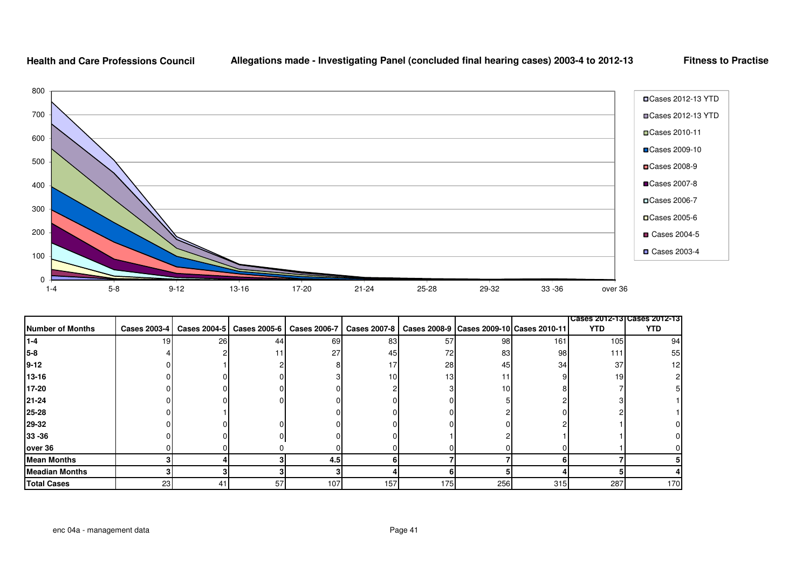

|                       |              |    |    |     |                                                           |     |     |                                              |                 | Cases 2012-13 Cases 2012-13 |
|-----------------------|--------------|----|----|-----|-----------------------------------------------------------|-----|-----|----------------------------------------------|-----------------|-----------------------------|
| Number of Months      | Cases 2003-4 |    |    |     | Cases 2004-5   Cases 2005-6   Cases 2006-7   Cases 2007-8 |     |     | Cases 2008-9   Cases 2009-10   Cases 2010-11 | <b>YTD</b>      | YTD                         |
| I1-4                  | 19           | 26 | 44 | 69  | 83                                                        | 57  | 98  | 161                                          | 105             | 94                          |
| 5-8                   |              |    |    | 27  | 45                                                        | 72  | 83  | 98                                           | 111             | 55                          |
| $9 - 12$              |              |    |    |     | 17                                                        | 28  | 45  | 34                                           | 37              | 12                          |
| 13-16                 |              |    |    |     | 10 <sup>1</sup>                                           | 13  | 11  |                                              | 19 <sup>l</sup> |                             |
| 17-20                 |              |    |    |     |                                                           |     | 10  |                                              |                 |                             |
| 21-24                 |              |    |    |     |                                                           |     |     |                                              |                 |                             |
| 25-28                 |              |    |    |     |                                                           |     |     |                                              |                 |                             |
| 29-32                 |              |    |    |     |                                                           |     |     |                                              |                 |                             |
| 33 - 36               |              |    |    |     |                                                           |     |     |                                              |                 |                             |
| over 36               |              |    |    |     |                                                           |     |     |                                              |                 |                             |
| <b>Mean Months</b>    |              |    |    | 4.5 |                                                           |     |     |                                              |                 |                             |
| <b>Meadian Months</b> |              |    |    |     |                                                           |     |     |                                              |                 |                             |
| <b>Total Cases</b>    | 23           | 41 | 57 | 107 | 157                                                       | 175 | 256 | 315                                          | 287             | 170                         |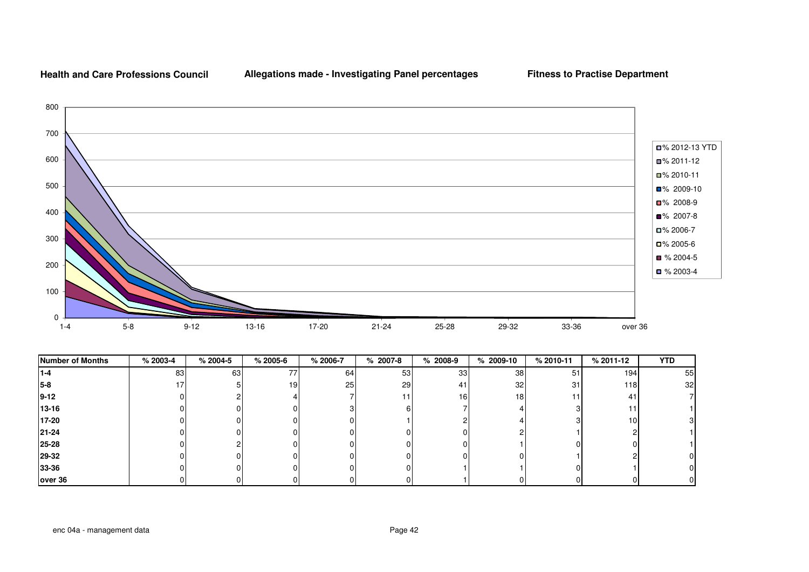

| <b>Number of Months</b> | $% 2003-4$ | $% 2004-5$ | $% 2005 - 6$    | % 2006-7 | $% 2007-8$ | $% 2008-9$ | $% 2009-10$     | % 2010-11 | % 2011-12       | <b>YTD</b> |
|-------------------------|------------|------------|-----------------|----------|------------|------------|-----------------|-----------|-----------------|------------|
| $1 - 4$                 | 83         | 63         | 77              | 64       | 53         | 33         | 38              | 51        | 1941            | 55         |
| 5-8                     |            |            | 19 <sup>l</sup> | 25       | 29         | 41         | 32 <sub>l</sub> | 31        | 118             | 32         |
| $9 - 12$                |            |            |                 |          |            | 16         | 18              |           | 41              |            |
| $13 - 16$               |            |            |                 |          |            |            |                 |           | 11              |            |
| 17-20                   |            |            |                 |          |            |            |                 |           | 10 <sup>1</sup> |            |
| 21-24                   |            |            |                 |          |            |            |                 |           |                 |            |
| 25-28                   |            |            |                 |          |            |            |                 |           | ΩI              |            |
| 29-32                   |            |            |                 |          |            |            |                 |           |                 |            |
| 33-36                   |            |            |                 |          |            |            |                 |           |                 |            |
| over 36                 |            |            |                 |          |            |            |                 |           |                 |            |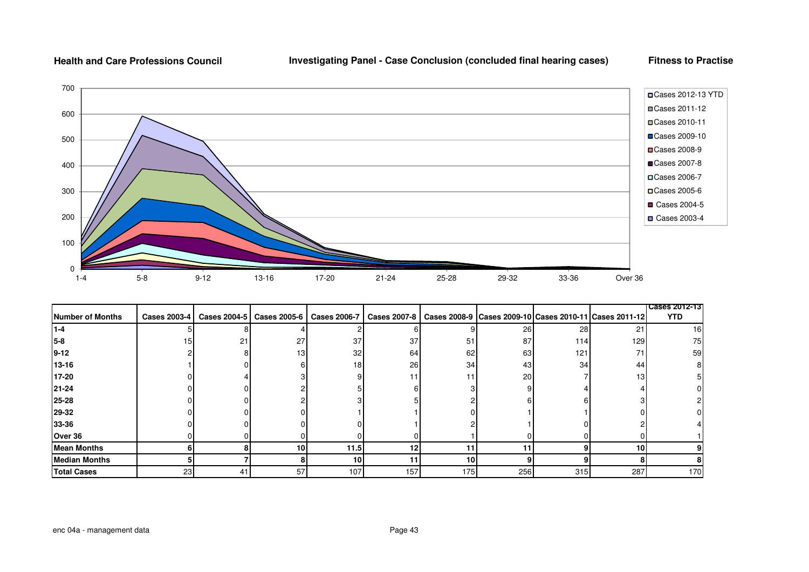## **Investigating Panel - Case Conclusion (concluded final hearing cases)**

**Fitness to Practise** 



|                      |                     |    |                                            |      |                     |     |     |     |                                                              | <b>Cases 2012-13</b> |
|----------------------|---------------------|----|--------------------------------------------|------|---------------------|-----|-----|-----|--------------------------------------------------------------|----------------------|
| Number of Months     | <b>Cases 2003-4</b> |    | Cases 2004-5   Cases 2005-6   Cases 2006-7 |      | <b>Cases 2007-8</b> |     |     |     | Cases 2008-9   Cases 2009-10   Cases 2010-11   Cases 2011-12 | <b>YTD</b>           |
| $1 - 4$              |                     |    |                                            |      |                     |     | 26  | 28  | 21                                                           | 16                   |
| 15-8                 | 15 <sub>l</sub>     | 21 | 27                                         | 37   | 37                  | 51  | 87  | 114 | 129                                                          | 75                   |
| $9 - 12$             |                     |    | 13                                         | 32   | 64                  | 62  | 63  | 121 | 71                                                           | 59                   |
| 13-16                |                     |    |                                            | 18   | 26                  | 34  | 43  | 34  | 44                                                           |                      |
| 17-20                |                     |    |                                            |      | 11                  | 11  | 20  |     | 13 <sup>1</sup>                                              |                      |
| 21-24                |                     |    |                                            |      |                     |     |     |     |                                                              |                      |
| 25-28                |                     |    |                                            |      |                     |     |     |     |                                                              |                      |
| 29-32                |                     |    |                                            |      |                     |     |     |     |                                                              |                      |
| 33-36                |                     |    |                                            |      |                     |     |     |     |                                                              |                      |
| Over 36              |                     |    |                                            |      |                     |     |     |     |                                                              |                      |
| <b>Mean Months</b>   |                     |    | 10 <sup>1</sup>                            | 11.5 | 12                  | 11  | 11  |     | <b>10</b>                                                    |                      |
| <b>Median Months</b> |                     |    |                                            | 10   | 11                  | 10  | 9   |     |                                                              |                      |
| <b>Total Cases</b>   | 23                  | 41 | 57                                         | 107  | 157                 | 175 | 256 | 315 | 287                                                          | 170                  |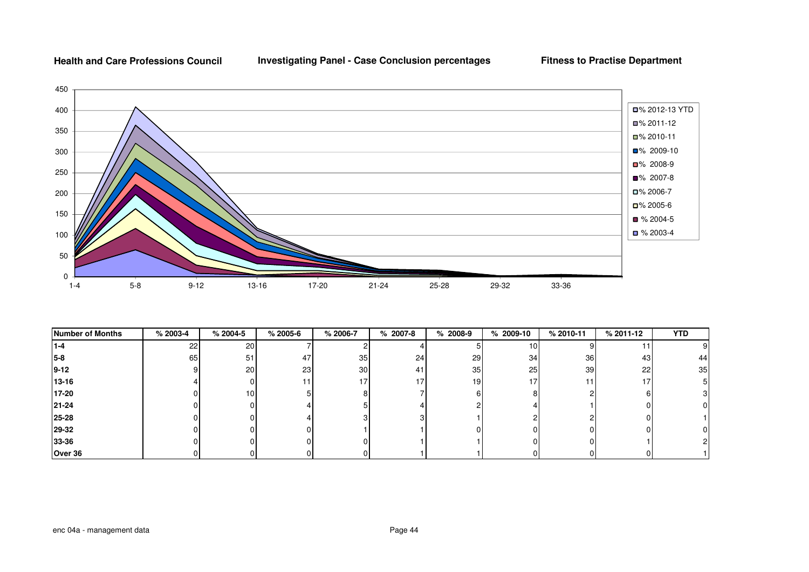**Investigating Panel - Case Conclusion percentages**

**Fitness to Practise Department**



| <b>Number of Months</b> | $% 2003-4$ | $% 2004-5$ | $% 2005-6$ | % 2006-7        | $% 2007-8$      | $% 2008-9$      | $% 2009-10$     | % 2010-11       | % 2011-12    | <b>YTD</b> |
|-------------------------|------------|------------|------------|-----------------|-----------------|-----------------|-----------------|-----------------|--------------|------------|
| $1 - 4$                 | 22         | 20         |            |                 |                 |                 | 10 <sup>1</sup> |                 |              | 9          |
| $5-8$                   | 65         | 51         | 47         | 35              | 24              | 29              | 34              | 36              | 43           | 44         |
| $9 - 12$                |            | 20         | 23         | 30 <sup>l</sup> | 41              | 35 <sub>l</sub> | 25              | 39 <sub>l</sub> | 22           | 35         |
| 13-16                   |            |            |            | 17              | 17 <sub>l</sub> | 19 <sub>l</sub> | 17              |                 | 17           |            |
| 17-20                   |            | 10         |            |                 |                 |                 |                 |                 | 6            |            |
| 21-24                   |            |            |            |                 |                 |                 |                 |                 |              | 0          |
| 25-28                   |            |            |            |                 |                 |                 |                 |                 |              |            |
| 29-32                   |            |            |            |                 |                 |                 |                 |                 |              | 0          |
| 33-36                   |            |            |            |                 |                 |                 |                 |                 |              |            |
| Over 36                 |            |            |            |                 |                 |                 |                 |                 | <sup>n</sup> |            |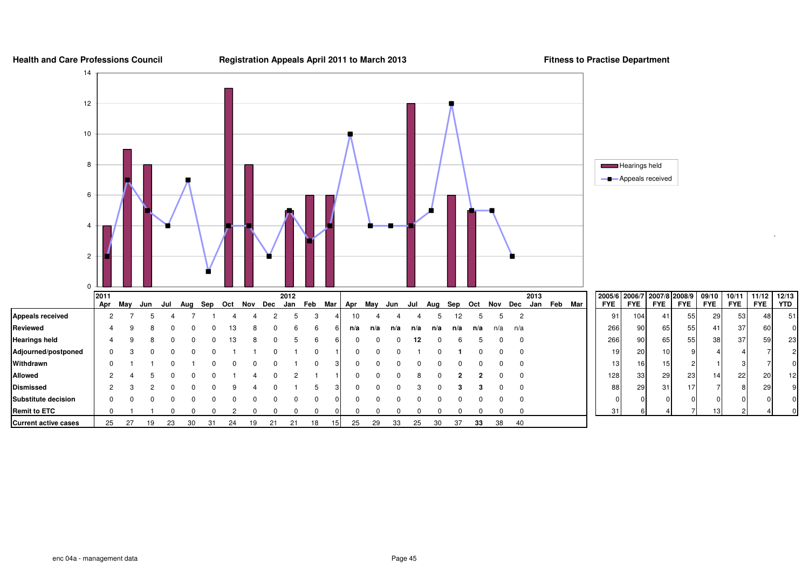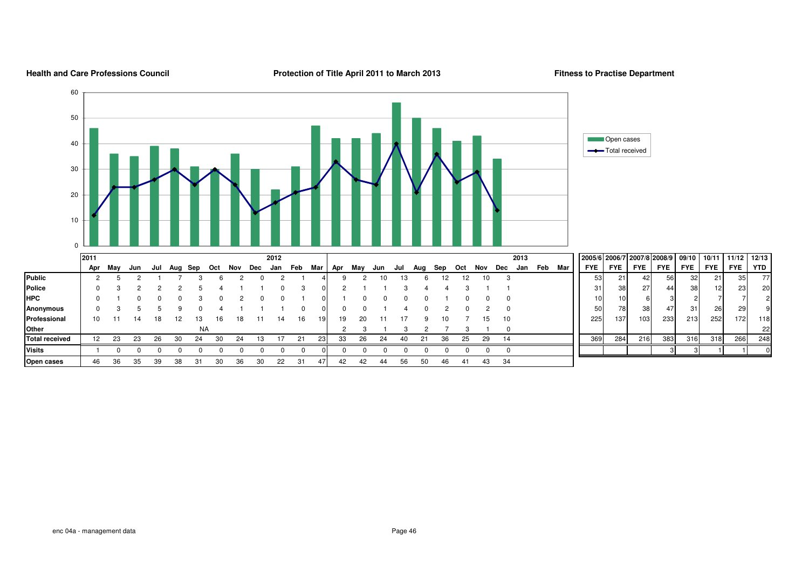#### **2005/6 2006/7 2007/8 2008/9 09/10 10/11 11/12 12/13**Apr May Jun Jul Aug Sep Oct Nov Dec Jan Feb Mar Apr May Jun Jul Aug Sep **ap Oct Nov Dec Jan Feb Mar** FYE FYE FYE FYE FYE FYE FYE FYE<br>12 12 10 3 3 3 21 42 56 32 21 35 **Publicc** | 2 5 2 1 7 3 6 2 0 2 1 4| 9 2 10 13 6 12 12 10 3 | | | | 53| 21| 42| 56| 32| 21| 35| 77 **Police**e | 0 3 2 2 2 5 4 1 1 0 3 0| 2 1 1 3 4 4 3 1 1 | | | | | | | | 38| 27| | 44| | 38| 12| 23| 20 **HPC** <sup>0</sup> <sup>1</sup> <sup>0</sup> <sup>0</sup> <sup>0</sup> <sup>3</sup> <sup>0</sup> <sup>2</sup> <sup>0</sup> <sup>0</sup> <sup>1</sup> <sup>0</sup> <sup>1</sup> <sup>0</sup> <sup>0</sup> <sup>0</sup> <sup>0</sup> <sup>1</sup> <sup>0</sup> <sup>0</sup> <sup>0</sup> <sup>10</sup> <sup>10</sup> <sup>6</sup> <sup>3</sup> <sup>2</sup> <sup>7</sup> <sup>7</sup> <sup>2</sup> **Anonymous** <sup>0</sup> <sup>3</sup> <sup>5</sup> <sup>5</sup> <sup>9</sup> <sup>0</sup> <sup>4</sup> <sup>1</sup> <sup>1</sup> <sup>1</sup> <sup>0</sup> <sup>0</sup> <sup>0</sup> <sup>0</sup> <sup>1</sup> <sup>4</sup> <sup>0</sup> <sup>2</sup> <sup>0</sup> <sup>2</sup> <sup>0</sup> <sup>50</sup> <sup>78</sup> <sup>38</sup> <sup>47</sup> <sup>31</sup> <sup>26</sup> <sup>29</sup> <sup>9</sup> **Professional**l | 10 11 14 18 12 13 16 18 11 14 16 19| 19 20 11 17 9 10 7 15 10 || 225| 137| 103| 233| 213| 252| 172| 118 **Other**r | NA NA 2 3 1 3 2 7 3 1 0 <sup>22</sup> **Total receivedd** 12 23 23 26 30 24 30 24 13 17 21 23 33 26 24 40 21 36 25 29 14 <sup>369</sup> <sup>284</sup> <sup>216</sup> <sup>383</sup> <sup>316</sup> <sup>318</sup> <sup>266</sup> <sup>248</sup> **Visits** <sup>1</sup> <sup>0</sup> <sup>0</sup> <sup>0</sup> <sup>0</sup> <sup>0</sup> <sup>0</sup> <sup>0</sup> <sup>0</sup> <sup>0</sup> <sup>0</sup> <sup>0</sup> <sup>0</sup> <sup>0</sup> <sup>0</sup> <sup>0</sup> <sup>0</sup> <sup>0</sup> <sup>0</sup> <sup>0</sup> <sup>0</sup> <sup>3</sup> <sup>3</sup> <sup>1</sup> <sup>1</sup> <sup>0</sup> **2011 <sup>2012</sup> <sup>2013</sup>** NA $24$ 0102030405060Open cases Total received

<sup>46</sup> <sup>36</sup> <sup>35</sup> <sup>39</sup> <sup>38</sup> <sup>31</sup> <sup>30</sup> <sup>36</sup> <sup>30</sup> <sup>22</sup> <sup>31</sup> <sup>47</sup> <sup>42</sup> <sup>42</sup> <sup>44</sup> <sup>56</sup> <sup>50</sup> <sup>46</sup> <sup>41</sup> <sup>43</sup> <sup>34</sup>

#### **Health and Care Professions Council**

**Protection of Title April 2011 to March 2013** Fitness to Practise Department

**YTD** 

 $\overline{7}$ 

 $\overline{c}$ 

**Open cases**